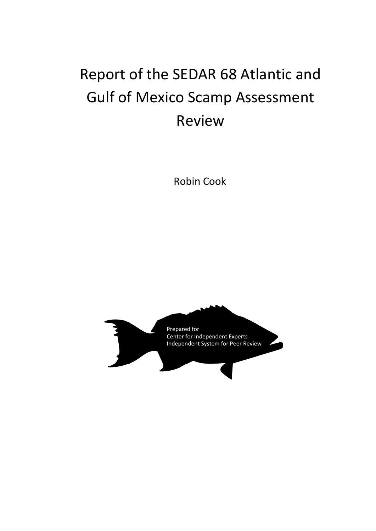# Report of the SEDAR 68 Atlantic and Gulf of Mexico Scamp Assessment Review

Robin Cook

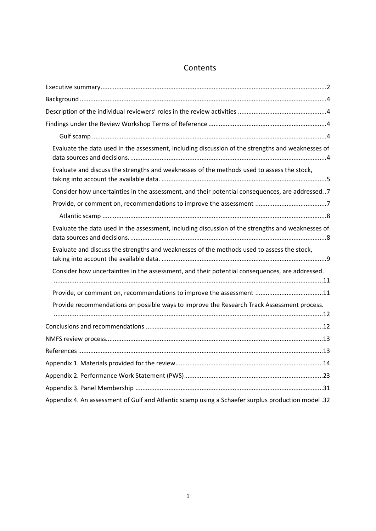# Contents

| Evaluate the data used in the assessment, including discussion of the strengths and weaknesses of |
|---------------------------------------------------------------------------------------------------|
| Evaluate and discuss the strengths and weaknesses of the methods used to assess the stock,        |
| Consider how uncertainties in the assessment, and their potential consequences, are addressed. .7 |
|                                                                                                   |
|                                                                                                   |
| Evaluate the data used in the assessment, including discussion of the strengths and weaknesses of |
| Evaluate and discuss the strengths and weaknesses of the methods used to assess the stock,        |
| Consider how uncertainties in the assessment, and their potential consequences, are addressed.    |
| Provide, or comment on, recommendations to improve the assessment 11                              |
| Provide recommendations on possible ways to improve the Research Track Assessment process.        |
|                                                                                                   |
|                                                                                                   |
|                                                                                                   |
|                                                                                                   |
|                                                                                                   |
|                                                                                                   |
|                                                                                                   |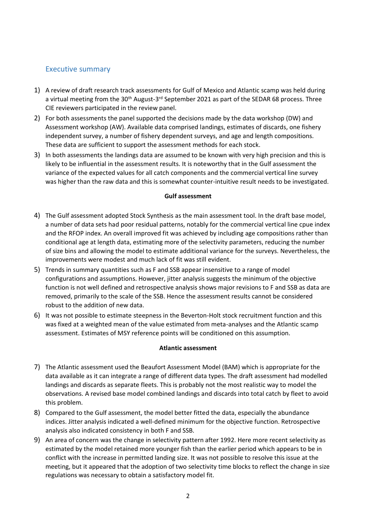#### Executive summary

- 1) A review of draft research track assessments for Gulf of Mexico and Atlantic scamp was held during a virtual meeting from the 30<sup>th</sup> August-3<sup>rd</sup> September 2021 as part of the SEDAR 68 process. Three CIE reviewers participated in the review panel.
- 2) For both assessments the panel supported the decisions made by the data workshop (DW) and Assessment workshop (AW). Available data comprised landings, estimates of discards, one fishery independent survey, a number of fishery dependent surveys, and age and length compositions. These data are sufficient to support the assessment methods for each stock.
- 3) In both assessments the landings data are assumed to be known with very high precision and this is likely to be influential in the assessment results. It is noteworthy that in the Gulf assessment the variance of the expected values for all catch components and the commercial vertical line survey was higher than the raw data and this is somewhat counter-intuitive result needs to be investigated.

#### **Gulf assessment**

- 4) The Gulf assessment adopted Stock Synthesis as the main assessment tool. In the draft base model, a number of data sets had poor residual patterns, notably for the commercial vertical line cpue index and the RFOP index. An overall improved fit was achieved by including age compositions rather than conditional age at length data, estimating more of the selectivity parameters, reducing the number of size bins and allowing the model to estimate additional variance for the surveys. Nevertheless, the improvements were modest and much lack of fit was still evident.
- 5) Trends in summary quantities such as F and SSB appear insensitive to a range of model configurations and assumptions. However, jitter analysis suggests the minimum of the objective function is not well defined and retrospective analysis shows major revisions to F and SSB as data are removed, primarily to the scale of the SSB. Hence the assessment results cannot be considered robust to the addition of new data.
- 6) It was not possible to estimate steepness in the Beverton-Holt stock recruitment function and this was fixed at a weighted mean of the value estimated from meta-analyses and the Atlantic scamp assessment. Estimates of MSY reference points will be conditioned on this assumption.

#### **Atlantic assessment**

- 7) The Atlantic assessment used the Beaufort Assessment Model (BAM) which is appropriate for the data available as it can integrate a range of different data types. The draft assessment had modelled landings and discards as separate fleets. This is probably not the most realistic way to model the observations. A revised base model combined landings and discards into total catch by fleet to avoid this problem.
- 8) Compared to the Gulf assessment, the model better fitted the data, especially the abundance indices. Jitter analysis indicated a well-defined minimum for the objective function. Retrospective analysis also indicated consistency in both F and SSB.
- 9) An area of concern was the change in selectivity pattern after 1992. Here more recent selectivity as estimated by the model retained more younger fish than the earlier period which appears to be in conflict with the increase in permitted landing size. It was not possible to resolve this issue at the meeting, but it appeared that the adoption of two selectivity time blocks to reflect the change in size regulations was necessary to obtain a satisfactory model fit.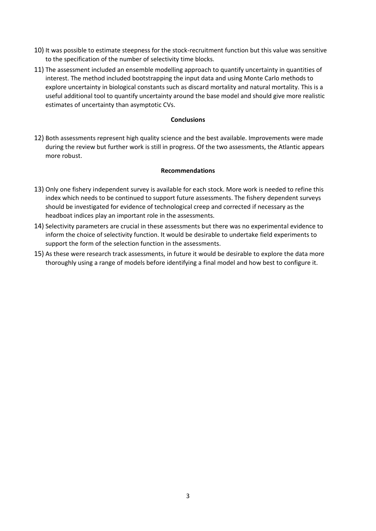- 10) It was possible to estimate steepness for the stock-recruitment function but this value was sensitive to the specification of the number of selectivity time blocks.
- 11) The assessment included an ensemble modelling approach to quantify uncertainty in quantities of interest. The method included bootstrapping the input data and using Monte Carlo methods to explore uncertainty in biological constants such as discard mortality and natural mortality. This is a useful additional tool to quantify uncertainty around the base model and should give more realistic estimates of uncertainty than asymptotic CVs.

#### **Conclusions**

12) Both assessments represent high quality science and the best available. Improvements were made during the review but further work is still in progress. Of the two assessments, the Atlantic appears more robust.

#### **Recommendations**

- 13) Only one fishery independent survey is available for each stock. More work is needed to refine this index which needs to be continued to support future assessments. The fishery dependent surveys should be investigated for evidence of technological creep and corrected if necessary as the headboat indices play an important role in the assessments.
- 14) Selectivity parameters are crucial in these assessments but there was no experimental evidence to inform the choice of selectivity function. It would be desirable to undertake field experiments to support the form of the selection function in the assessments.
- 15) As these were research track assessments, in future it would be desirable to explore the data more thoroughly using a range of models before identifying a final model and how best to configure it.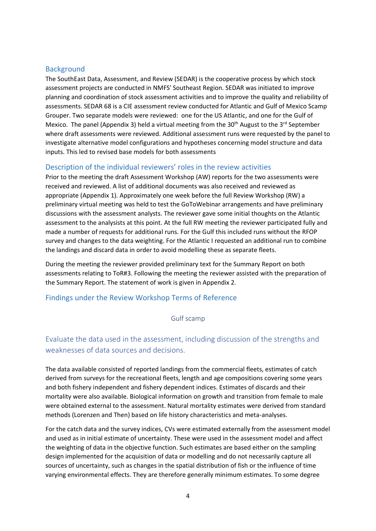#### **Background**

The SouthEast Data, Assessment, and Review (SEDAR) is the cooperative process by which stock assessment projects are conducted in NMFS' Southeast Region. SEDAR was initiated to improve planning and coordination of stock assessment activities and to improve the quality and reliability of assessments. SEDAR 68 is a CIE assessment review conducted for Atlantic and Gulf of Mexico Scamp Grouper. Two separate models were reviewed: one for the US Atlantic, and one for the Gulf of Mexico. The panel (Appendix 3) held a virtual meeting from the  $30<sup>th</sup>$  August to the  $3<sup>rd</sup>$  September where draft assessments were reviewed. Additional assessment runs were requested by the panel to investigate alternative model configurations and hypotheses concerning model structure and data inputs. This led to revised base models for both assessments

#### Description of the individual reviewers' roles in the review activities

Prior to the meeting the draft Assessment Workshop (AW) reports for the two assessments were received and reviewed. A list of additional documents was also received and reviewed as appropriate (Appendix 1). Approximately one week before the full Review Workshop (RW) a preliminary virtual meeting was held to test the GoToWebinar arrangements and have preliminary discussions with the assessment analysts. The reviewer gave some initial thoughts on the Atlantic assessment to the analysists at this point. At the full RW meeting the reviewer participated fully and made a number of requests for additional runs. For the Gulf this included runs without the RFOP survey and changes to the data weighting. For the Atlantic I requested an additional run to combine the landings and discard data in order to avoid modelling these as separate fleets.

During the meeting the reviewer provided preliminary text for the Summary Report on both assessments relating to ToR#3. Following the meeting the reviewer assisted with the preparation of the Summary Report. The statement of work is given in Appendix 2.

#### Findings under the Review Workshop Terms of Reference

#### Gulf scamp

# Evaluate the data used in the assessment, including discussion of the strengths and weaknesses of data sources and decisions.

The data available consisted of reported landings from the commercial fleets, estimates of catch derived from surveys for the recreational fleets, length and age compositions covering some years and both fishery independent and fishery dependent indices. Estimates of discards and their mortality were also available. Biological information on growth and transition from female to male were obtained external to the assessment. Natural mortality estimates were derived from standard methods (Lorenzen and Then) based on life history characteristics and meta-analyses.

For the catch data and the survey indices, CVs were estimated externally from the assessment model and used as in initial estimate of uncertainty. These were used in the assessment model and affect the weighting of data in the objective function. Such estimates are based either on the sampling design implemented for the acquisition of data or modelling and do not necessarily capture all sources of uncertainty, such as changes in the spatial distribution of fish or the influence of time varying environmental effects. They are therefore generally minimum estimates. To some degree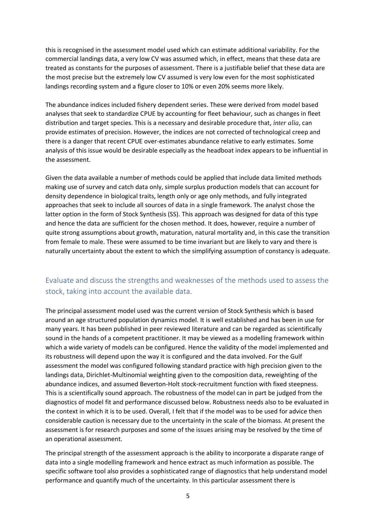this is recognised in the assessment model used which can estimate additional variability. For the commercial landings data, a very low CV was assumed which, in effect, means that these data are treated as constants for the purposes of assessment. There is a justifiable belief that these data are the most precise but the extremely low CV assumed is very low even for the most sophisticated landings recording system and a figure closer to 10% or even 20% seems more likely.

The abundance indices included fishery dependent series. These were derived from model based analyses that seek to standardize CPUE by accounting for fleet behaviour, such as changes in fleet distribution and target species. This is a necessary and desirable procedure that, *inter alia,* can provide estimates of precision. However, the indices are not corrected of technological creep and there is a danger that recent CPUE over-estimates abundance relative to early estimates. Some analysis of this issue would be desirable especially as the headboat index appears to be influential in the assessment.

Given the data available a number of methods could be applied that include data limited methods making use of survey and catch data only, simple surplus production models that can account for density dependence in biological traits, length only or age only methods, and fully integrated approaches that seek to include all sources of data in a single framework. The analyst chose the latter option in the form of Stock Synthesis (SS). This approach was designed for data of this type and hence the data are sufficient for the chosen method. It does, however, require a number of quite strong assumptions about growth, maturation, natural mortality and, in this case the transition from female to male. These were assumed to be time invariant but are likely to vary and there is naturally uncertainty about the extent to which the simplifying assumption of constancy is adequate.

# Evaluate and discuss the strengths and weaknesses of the methods used to assess the stock, taking into account the available data.

The principal assessment model used was the current version of Stock Synthesis which is based around an age structured population dynamics model. It is well established and has been in use for many years. It has been published in peer reviewed literature and can be regarded as scientifically sound in the hands of a competent practitioner. It may be viewed as a modelling framework within which a wide variety of models can be configured. Hence the validity of the model implemented and its robustness will depend upon the way it is configured and the data involved. For the Gulf assessment the model was configured following standard practice with high precision given to the landings data, Dirichlet-Multinomial weighting given to the composition data, reweighting of the abundance indices, and assumed Beverton-Holt stock-recruitment function with fixed steepness. This is a scientifically sound approach. The robustness of the model can in part be judged from the diagnostics of model fit and performance discussed below. Robustness needs also to be evaluated in the context in which it is to be used. Overall, I felt that if the model was to be used for advice then considerable caution is necessary due to the uncertainty in the scale of the biomass. At present the assessment is for research purposes and some of the issues arising may be resolved by the time of an operational assessment.

The principal strength of the assessment approach is the ability to incorporate a disparate range of data into a single modelling framework and hence extract as much information as possible. The specific software tool also provides a sophisticated range of diagnostics that help understand model performance and quantify much of the uncertainty. In this particular assessment there is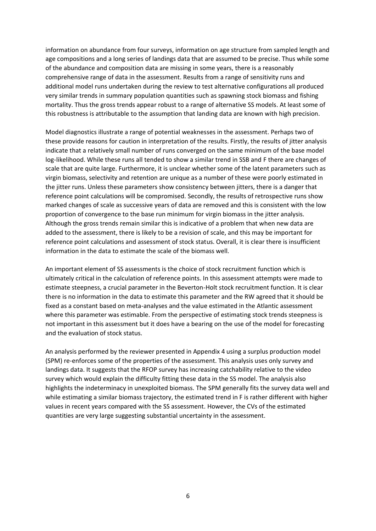information on abundance from four surveys, information on age structure from sampled length and age compositions and a long series of landings data that are assumed to be precise. Thus while some of the abundance and composition data are missing in some years, there is a reasonably comprehensive range of data in the assessment. Results from a range of sensitivity runs and additional model runs undertaken during the review to test alternative configurations all produced very similar trends in summary population quantities such as spawning stock biomass and fishing mortality. Thus the gross trends appear robust to a range of alternative SS models. At least some of this robustness is attributable to the assumption that landing data are known with high precision.

Model diagnostics illustrate a range of potential weaknesses in the assessment. Perhaps two of these provide reasons for caution in interpretation of the results. Firstly, the results of jitter analysis indicate that a relatively small number of runs converged on the same minimum of the base model log-likelihood. While these runs all tended to show a similar trend in SSB and F there are changes of scale that are quite large. Furthermore, it is unclear whether some of the latent parameters such as virgin biomass, selectivity and retention are unique as a number of these were poorly estimated in the jitter runs. Unless these parameters show consistency between jitters, there is a danger that reference point calculations will be compromised. Secondly, the results of retrospective runs show marked changes of scale as successive years of data are removed and this is consistent with the low proportion of convergence to the base run minimum for virgin biomass in the jitter analysis. Although the gross trends remain similar this is indicative of a problem that when new data are added to the assessment, there is likely to be a revision of scale, and this may be important for reference point calculations and assessment of stock status. Overall, it is clear there is insufficient information in the data to estimate the scale of the biomass well.

An important element of SS assessments is the choice of stock recruitment function which is ultimately critical in the calculation of reference points. In this assessment attempts were made to estimate steepness, a crucial parameter in the Beverton-Holt stock recruitment function. It is clear there is no information in the data to estimate this parameter and the RW agreed that it should be fixed as a constant based on meta-analyses and the value estimated in the Atlantic assessment where this parameter was estimable. From the perspective of estimating stock trends steepness is not important in this assessment but it does have a bearing on the use of the model for forecasting and the evaluation of stock status.

An analysis performed by the reviewer presented in Appendix 4 using a surplus production model (SPM) re-enforces some of the properties of the assessment. This analysis uses only survey and landings data. It suggests that the RFOP survey has increasing catchability relative to the video survey which would explain the difficulty fitting these data in the SS model. The analysis also highlights the indeterminacy in unexploited biomass. The SPM generally fits the survey data well and while estimating a similar biomass trajectory, the estimated trend in F is rather different with higher values in recent years compared with the SS assessment. However, the CVs of the estimated quantities are very large suggesting substantial uncertainty in the assessment.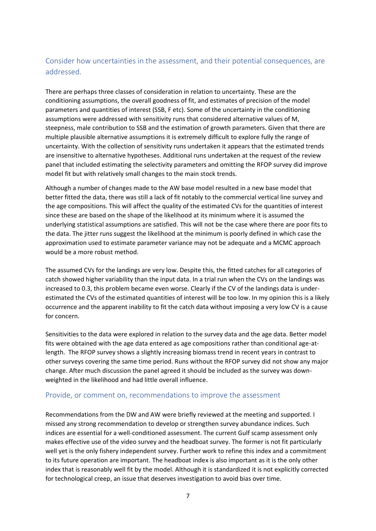# Consider how uncertainties in the assessment, and their potential consequences, are addressed.

There are perhaps three classes of consideration in relation to uncertainty. These are the conditioning assumptions, the overall goodness of fit, and estimates of precision of the model parameters and quantities of interest (SSB, F etc). Some of the uncertainty in the conditioning assumptions were addressed with sensitivity runs that considered alternative values of M, steepness, male contribution to SSB and the estimation of growth parameters. Given that there are multiple plausible alternative assumptions it is extremely difficult to explore fully the range of uncertainty. With the collection of sensitivity runs undertaken it appears that the estimated trends are insensitive to alternative hypotheses. Additional runs undertaken at the request of the review panel that included estimating the selectivity parameters and omitting the RFOP survey did improve model fit but with relatively small changes to the main stock trends.

Although a number of changes made to the AW base model resulted in a new base model that better fitted the data, there was still a lack of fit notably to the commercial vertical line survey and the age compositions. This will affect the quality of the estimated CVs for the quantities of interest since these are based on the shape of the likelihood at its minimum where it is assumed the underlying statistical assumptions are satisfied. This will not be the case where there are poor fits to the data. The jitter runs suggest the likelihood at the minimum is poorly defined in which case the approximation used to estimate parameter variance may not be adequate and a MCMC approach would be a more robust method.

The assumed CVs for the landings are very low. Despite this, the fitted catches for all categories of catch showed higher variability than the input data. In a trial run when the CVs on the landings was increased to 0.3, this problem became even worse. Clearly if the CV of the landings data is underestimated the CVs of the estimated quantities of interest will be too low. In my opinion this is a likely occurrence and the apparent inability to fit the catch data without imposing a very low CV is a cause for concern.

Sensitivities to the data were explored in relation to the survey data and the age data. Better model fits were obtained with the age data entered as age compositions rather than conditional age-atlength. The RFOP survey shows a slightly increasing biomass trend in recent years in contrast to other surveys covering the same time period. Runs without the RFOP survey did not show any major change. After much discussion the panel agreed it should be included as the survey was downweighted in the likelihood and had little overall influence.

#### Provide, or comment on, recommendations to improve the assessment

Recommendations from the DW and AW were briefly reviewed at the meeting and supported. I missed any strong recommendation to develop or strengthen survey abundance indices. Such indices are essential for a well-conditioned assessment. The current Gulf scamp assessment only makes effective use of the video survey and the headboat survey. The former is not fit particularly well yet is the only fishery independent survey. Further work to refine this index and a commitment to its future operation are important. The headboat index is also important as it is the only other index that is reasonably well fit by the model. Although it is standardized it is not explicitly corrected for technological creep, an issue that deserves investigation to avoid bias over time.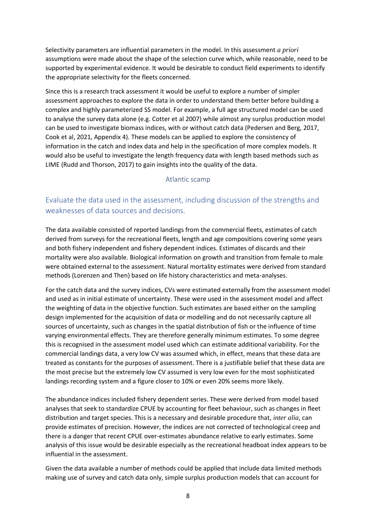Selectivity parameters are influential parameters in the model. In this assessment *a priori* assumptions were made about the shape of the selection curve which, while reasonable, need to be supported by experimental evidence. It would be desirable to conduct field experiments to identify the appropriate selectivity for the fleets concerned.

Since this is a research track assessment it would be useful to explore a number of simpler assessment approaches to explore the data in order to understand them better before building a complex and highly parameterized SS model. For example, a full age structured model can be used to analyse the survey data alone (e.g. Cotter et al 2007) while almost any surplus production model can be used to investigate biomass indices, with or without catch data (Pedersen and Berg, 2017, Cook et al, 2021, Appendix 4). These models can be applied to explore the consistency of information in the catch and index data and help in the specification of more complex models. It would also be useful to investigate the length frequency data with length based methods such as LIME (Rudd and Thorson, 2017) to gain insights into the quality of the data.

#### Atlantic scamp

# Evaluate the data used in the assessment, including discussion of the strengths and weaknesses of data sources and decisions.

The data available consisted of reported landings from the commercial fleets, estimates of catch derived from surveys for the recreational fleets, length and age compositions covering some years and both fishery independent and fishery dependent indices. Estimates of discards and their mortality were also available. Biological information on growth and transition from female to male were obtained external to the assessment. Natural mortality estimates were derived from standard methods (Lorenzen and Then) based on life history characteristics and meta-analyses.

For the catch data and the survey indices, CVs were estimated externally from the assessment model and used as in initial estimate of uncertainty. These were used in the assessment model and affect the weighting of data in the objective function. Such estimates are based either on the sampling design implemented for the acquisition of data or modelling and do not necessarily capture all sources of uncertainty, such as changes in the spatial distribution of fish or the influence of time varying environmental effects. They are therefore generally minimum estimates. To some degree this is recognised in the assessment model used which can estimate additional variability. For the commercial landings data, a very low CV was assumed which, in effect, means that these data are treated as constants for the purposes of assessment. There is a justifiable belief that these data are the most precise but the extremely low CV assumed is very low even for the most sophisticated landings recording system and a figure closer to 10% or even 20% seems more likely.

The abundance indices included fishery dependent series. These were derived from model based analyses that seek to standardize CPUE by accounting for fleet behaviour, such as changes in fleet distribution and target species. This is a necessary and desirable procedure that, *inter alia,* can provide estimates of precision. However, the indices are not corrected of technological creep and there is a danger that recent CPUE over-estimates abundance relative to early estimates. Some analysis of this issue would be desirable especially as the recreational headboat index appears to be influential in the assessment.

Given the data available a number of methods could be applied that include data limited methods making use of survey and catch data only, simple surplus production models that can account for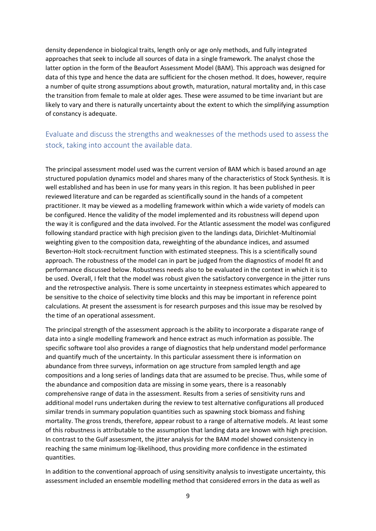density dependence in biological traits, length only or age only methods, and fully integrated approaches that seek to include all sources of data in a single framework. The analyst chose the latter option in the form of the Beaufort Assessment Model (BAM). This approach was designed for data of this type and hence the data are sufficient for the chosen method. It does, however, require a number of quite strong assumptions about growth, maturation, natural mortality and, in this case the transition from female to male at older ages. These were assumed to be time invariant but are likely to vary and there is naturally uncertainty about the extent to which the simplifying assumption of constancy is adequate.

# Evaluate and discuss the strengths and weaknesses of the methods used to assess the stock, taking into account the available data.

The principal assessment model used was the current version of BAM which is based around an age structured population dynamics model and shares many of the characteristics of Stock Synthesis. It is well established and has been in use for many years in this region. It has been published in peer reviewed literature and can be regarded as scientifically sound in the hands of a competent practitioner. It may be viewed as a modelling framework within which a wide variety of models can be configured. Hence the validity of the model implemented and its robustness will depend upon the way it is configured and the data involved. For the Atlantic assessment the model was configured following standard practice with high precision given to the landings data, Dirichlet-Multinomial weighting given to the composition data, reweighting of the abundance indices, and assumed Beverton-Holt stock-recruitment function with estimated steepness. This is a scientifically sound approach. The robustness of the model can in part be judged from the diagnostics of model fit and performance discussed below. Robustness needs also to be evaluated in the context in which it is to be used. Overall, I felt that the model was robust given the satisfactory convergence in the jitter runs and the retrospective analysis. There is some uncertainty in steepness estimates which appeared to be sensitive to the choice of selectivity time blocks and this may be important in reference point calculations. At present the assessment is for research purposes and this issue may be resolved by the time of an operational assessment.

The principal strength of the assessment approach is the ability to incorporate a disparate range of data into a single modelling framework and hence extract as much information as possible. The specific software tool also provides a range of diagnostics that help understand model performance and quantify much of the uncertainty. In this particular assessment there is information on abundance from three surveys, information on age structure from sampled length and age compositions and a long series of landings data that are assumed to be precise. Thus, while some of the abundance and composition data are missing in some years, there is a reasonably comprehensive range of data in the assessment. Results from a series of sensitivity runs and additional model runs undertaken during the review to test alternative configurations all produced similar trends in summary population quantities such as spawning stock biomass and fishing mortality. The gross trends, therefore, appear robust to a range of alternative models. At least some of this robustness is attributable to the assumption that landing data are known with high precision. In contrast to the Gulf assessment, the jitter analysis for the BAM model showed consistency in reaching the same minimum log-likelihood, thus providing more confidence in the estimated quantities.

In addition to the conventional approach of using sensitivity analysis to investigate uncertainty, this assessment included an ensemble modelling method that considered errors in the data as well as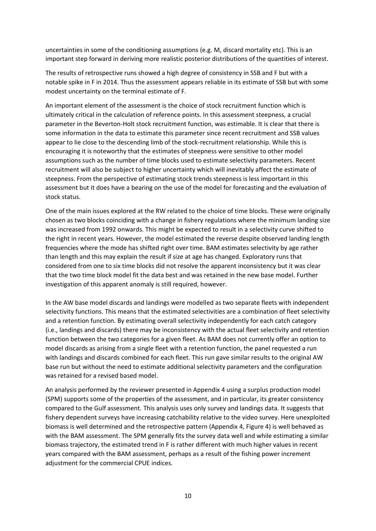uncertainties in some of the conditioning assumptions (e.g. M, discard mortality etc). This is an important step forward in deriving more realistic posterior distributions of the quantities of interest.

The results of retrospective runs showed a high degree of consistency in SSB and F but with a notable spike in F in 2014. Thus the assessment appears reliable in its estimate of SSB but with some modest uncertainty on the terminal estimate of F.

An important element of the assessment is the choice of stock recruitment function which is ultimately critical in the calculation of reference points. In this assessment steepness, a crucial parameter in the Beverton-Holt stock recruitment function, was estimable. It is clear that there is some information in the data to estimate this parameter since recent recruitment and SSB values appear to lie close to the descending limb of the stock-recruitment relationship. While this is encouraging it is noteworthy that the estimates of steepness were sensitive to other model assumptions such as the number of time blocks used to estimate selectivity parameters. Recent recruitment will also be subject to higher uncertainty which will inevitably affect the estimate of steepness. From the perspective of estimating stock trends steepness is less important in this assessment but it does have a bearing on the use of the model for forecasting and the evaluation of stock status.

One of the main issues explored at the RW related to the choice of time blocks. These were originally chosen as two blocks coinciding with a change in fishery regulations where the minimum landing size was increased from 1992 onwards. This might be expected to result in a selectivity curve shifted to the right in recent years. However, the model estimated the reverse despite observed landing length frequencies where the mode has shifted right over time. BAM estimates selectivity by age rather than length and this may explain the result if size at age has changed. Exploratory runs that considered from one to six time blocks did not resolve the apparent inconsistency but it was clear that the two time block model fit the data best and was retained in the new base model. Further investigation of this apparent anomaly is still required, however.

In the AW base model discards and landings were modelled as two separate fleets with independent selectivity functions. This means that the estimated selectivities are a combination of fleet selectivity and a retention function. By estimating overall selectivity independently for each catch category (i.e., landings and discards) there may be inconsistency with the actual fleet selectivity and retention function between the two categories for a given fleet. As BAM does not currently offer an option to model discards as arising from a single fleet with a retention function, the panel requested a run with landings and discards combined for each fleet. This run gave similar results to the original AW base run but without the need to estimate additional selectivity parameters and the configuration was retained for a revised based model.

An analysis performed by the reviewer presented in Appendix 4 using a surplus production model (SPM) supports some of the properties of the assessment, and in particular, its greater consistency compared to the Gulf assessment. This analysis uses only survey and landings data. It suggests that fishery dependent surveys have increasing catchability relative to the video survey. Here unexploited biomass is well determined and the retrospective pattern (Appendix 4, Figure 4) is well behaved as with the BAM assessment. The SPM generally fits the survey data well and while estimating a similar biomass trajectory, the estimated trend in F is rather different with much higher values in recent years compared with the BAM assessment, perhaps as a result of the fishing power increment adjustment for the commercial CPUE indices.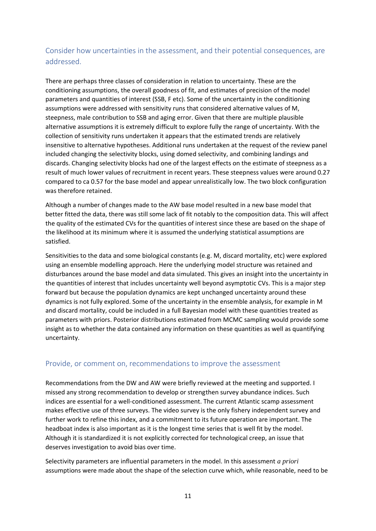# Consider how uncertainties in the assessment, and their potential consequences, are addressed.

There are perhaps three classes of consideration in relation to uncertainty. These are the conditioning assumptions, the overall goodness of fit, and estimates of precision of the model parameters and quantities of interest (SSB, F etc). Some of the uncertainty in the conditioning assumptions were addressed with sensitivity runs that considered alternative values of M, steepness, male contribution to SSB and aging error. Given that there are multiple plausible alternative assumptions it is extremely difficult to explore fully the range of uncertainty. With the collection of sensitivity runs undertaken it appears that the estimated trends are relatively insensitive to alternative hypotheses. Additional runs undertaken at the request of the review panel included changing the selectivity blocks, using domed selectivity, and combining landings and discards. Changing selectivity blocks had one of the largest effects on the estimate of steepness as a result of much lower values of recruitment in recent years. These steepness values were around 0.27 compared to ca 0.57 for the base model and appear unrealistically low. The two block configuration was therefore retained.

Although a number of changes made to the AW base model resulted in a new base model that better fitted the data, there was still some lack of fit notably to the composition data. This will affect the quality of the estimated CVs for the quantities of interest since these are based on the shape of the likelihood at its minimum where it is assumed the underlying statistical assumptions are satisfied.

Sensitivities to the data and some biological constants (e.g. M, discard mortality, etc) were explored using an ensemble modelling approach. Here the underlying model structure was retained and disturbances around the base model and data simulated. This gives an insight into the uncertainty in the quantities of interest that includes uncertainty well beyond asymptotic CVs. This is a major step forward but because the population dynamics are kept unchanged uncertainty around these dynamics is not fully explored. Some of the uncertainty in the ensemble analysis, for example in M and discard mortality, could be included in a full Bayesian model with these quantities treated as parameters with priors. Posterior distributions estimated from MCMC sampling would provide some insight as to whether the data contained any information on these quantities as well as quantifying uncertainty.

#### Provide, or comment on, recommendations to improve the assessment

Recommendations from the DW and AW were briefly reviewed at the meeting and supported. I missed any strong recommendation to develop or strengthen survey abundance indices. Such indices are essential for a well-conditioned assessment. The current Atlantic scamp assessment makes effective use of three surveys. The video survey is the only fishery independent survey and further work to refine this index, and a commitment to its future operation are important. The headboat index is also important as it is the longest time series that is well fit by the model. Although it is standardized it is not explicitly corrected for technological creep, an issue that deserves investigation to avoid bias over time.

Selectivity parameters are influential parameters in the model. In this assessment *a priori* assumptions were made about the shape of the selection curve which, while reasonable, need to be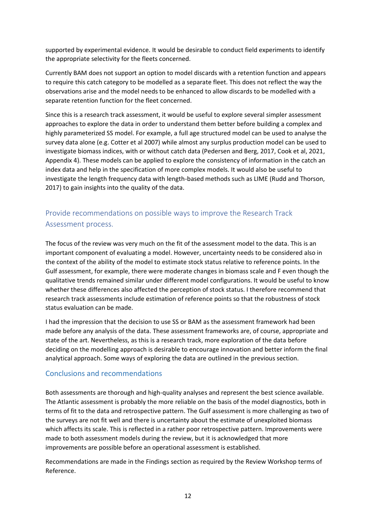supported by experimental evidence. It would be desirable to conduct field experiments to identify the appropriate selectivity for the fleets concerned.

Currently BAM does not support an option to model discards with a retention function and appears to require this catch category to be modelled as a separate fleet. This does not reflect the way the observations arise and the model needs to be enhanced to allow discards to be modelled with a separate retention function for the fleet concerned.

Since this is a research track assessment, it would be useful to explore several simpler assessment approaches to explore the data in order to understand them better before building a complex and highly parameterized SS model. For example, a full age structured model can be used to analyse the survey data alone (e.g. Cotter et al 2007) while almost any surplus production model can be used to investigate biomass indices, with or without catch data (Pedersen and Berg, 2017, Cook et al, 2021, Appendix 4). These models can be applied to explore the consistency of information in the catch an index data and help in the specification of more complex models. It would also be useful to investigate the length frequency data with length-based methods such as LIME (Rudd and Thorson, 2017) to gain insights into the quality of the data.

# Provide recommendations on possible ways to improve the Research Track Assessment process.

The focus of the review was very much on the fit of the assessment model to the data. This is an important component of evaluating a model. However, uncertainty needs to be considered also in the context of the ability of the model to estimate stock status relative to reference points. In the Gulf assessment, for example, there were moderate changes in biomass scale and F even though the qualitative trends remained similar under different model configurations. It would be useful to know whether these differences also affected the perception of stock status. I therefore recommend that research track assessments include estimation of reference points so that the robustness of stock status evaluation can be made.

I had the impression that the decision to use SS or BAM as the assessment framework had been made before any analysis of the data. These assessment frameworks are, of course, appropriate and state of the art. Nevertheless, as this is a research track, more exploration of the data before deciding on the modelling approach is desirable to encourage innovation and better inform the final analytical approach. Some ways of exploring the data are outlined in the previous section.

#### Conclusions and recommendations

Both assessments are thorough and high-quality analyses and represent the best science available. The Atlantic assessment is probably the more reliable on the basis of the model diagnostics, both in terms of fit to the data and retrospective pattern. The Gulf assessment is more challenging as two of the surveys are not fit well and there is uncertainty about the estimate of unexploited biomass which affects its scale. This is reflected in a rather poor retrospective pattern. Improvements were made to both assessment models during the review, but it is acknowledged that more improvements are possible before an operational assessment is established.

Recommendations are made in the Findings section as required by the Review Workshop terms of Reference.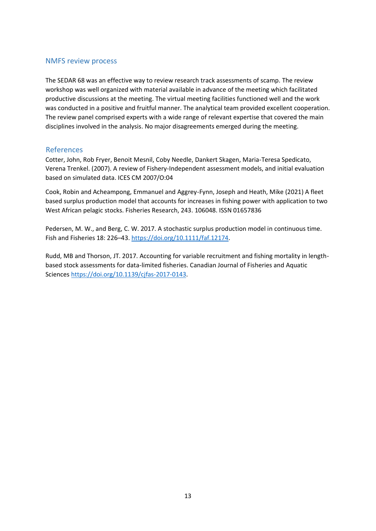#### NMFS review process

The SEDAR 68 was an effective way to review research track assessments of scamp. The review workshop was well organized with material available in advance of the meeting which facilitated productive discussions at the meeting. The virtual meeting facilities functioned well and the work was conducted in a positive and fruitful manner. The analytical team provided excellent cooperation. The review panel comprised experts with a wide range of relevant expertise that covered the main disciplines involved in the analysis. No major disagreements emerged during the meeting.

#### References

Cotter, John, Rob Fryer, Benoit Mesnil, Coby Needle, Dankert Skagen, Maria-Teresa Spedicato, Verena Trenkel. (2007). A review of Fishery-Independent assessment models, and initial evaluation based on simulated data. ICES CM 2007/O:04

Cook, Robin and Acheampong, Emmanuel and Aggrey-Fynn, Joseph and Heath, Mike (2021) A fleet based surplus production model that accounts for increases in fishing power with application to two West African pelagic stocks. Fisheries Research, 243. 106048. ISSN 01657836

Pedersen, M. W., and Berg, C. W. 2017. A stochastic surplus production model in continuous time. Fish and Fisheries 18: 226–43. [https://doi.org/10.1111/faf.12174.](https://doi.org/10.1111/faf.12174)

Rudd, MB and Thorson, JT. 2017. Accounting for variable recruitment and fishing mortality in lengthbased stock assessments for data-limited fisheries. Canadian Journal of Fisheries and Aquatic Science[s https://doi.org/10.1139/cjfas-2017-0143.](https://doi.org/10.1139/cjfas-2017-0143)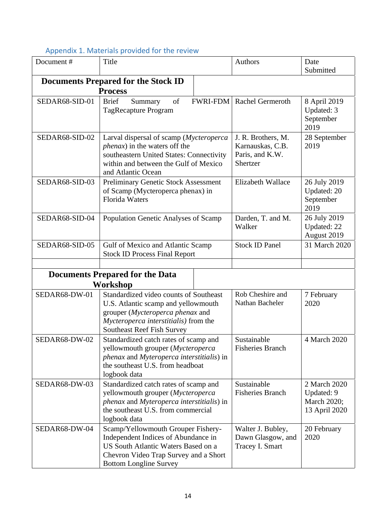| Document#                                          | $\sim$ performance in the content of the content of the $\sim$<br>Title                                                                                                                         | Authors                                                               | Date<br>Submitted                                          |
|----------------------------------------------------|-------------------------------------------------------------------------------------------------------------------------------------------------------------------------------------------------|-----------------------------------------------------------------------|------------------------------------------------------------|
|                                                    | <b>Documents Prepared for the Stock ID</b><br><b>Process</b>                                                                                                                                    |                                                                       |                                                            |
| SEDAR68-SID-01                                     | <b>Brief</b><br>of<br>Summary<br>TagRecapture Program                                                                                                                                           | FWRI-FDM   Rachel Germeroth                                           | 8 April 2019<br>Updated: 3<br>September<br>2019            |
| SEDAR68-SID-02                                     | Larval dispersal of scamp (Mycteroperca<br><i>phenax</i> ) in the waters off the<br>southeastern United States: Connectivity<br>within and between the Gulf of Mexico<br>and Atlantic Ocean     | J. R. Brothers, M.<br>Karnauskas, C.B.<br>Paris, and K.W.<br>Shertzer | 28 September<br>2019                                       |
| SEDAR68-SID-03                                     | <b>Preliminary Genetic Stock Assessment</b><br>of Scamp (Mycteroperca phenax) in<br><b>Florida Waters</b>                                                                                       | Elizabeth Wallace                                                     | 26 July 2019<br>Updated: 20<br>September<br>2019           |
| SEDAR68-SID-04                                     | Population Genetic Analyses of Scamp                                                                                                                                                            | Darden, T. and M.<br>Walker                                           | 26 July 2019<br>Updated: 22<br>August 2019                 |
| SEDAR68-SID-05                                     | Gulf of Mexico and Atlantic Scamp<br><b>Stock ID Process Final Report</b>                                                                                                                       | <b>Stock ID Panel</b>                                                 | 31 March 2020                                              |
| <b>Documents Prepared for the Data</b><br>Workshop |                                                                                                                                                                                                 |                                                                       |                                                            |
| SEDAR68-DW-01                                      | Standardized video counts of Southeast<br>U.S. Atlantic scamp and yellowmouth<br>grouper (Mycteroperca phenax and<br>Mycteroperca interstitialis) from the<br><b>Southeast Reef Fish Survey</b> | Rob Cheshire and<br>Nathan Bacheler                                   | 7 February<br>2020                                         |
| SEDAR68-DW-02                                      | Standardized catch rates of scamp and<br>yellowmouth grouper (Mycteroperca<br>phenax and Myteroperca interstitialis) in<br>the southeast U.S. from headboat<br>logbook data                     | Sustainable<br><b>Fisheries Branch</b>                                | 4 March 2020                                               |
| SEDAR68-DW-03                                      | Standardized catch rates of scamp and<br>yellowmouth grouper (Mycteroperca<br>phenax and Myteroperca interstitialis) in<br>the southeast U.S. from commercial<br>logbook data                   | Sustainable<br><b>Fisheries Branch</b>                                | 2 March 2020<br>Updated: 9<br>March 2020;<br>13 April 2020 |
| SEDAR68-DW-04                                      | Scamp/Yellowmouth Grouper Fishery-<br>Independent Indices of Abundance in<br>US South Atlantic Waters Based on a<br>Chevron Video Trap Survey and a Short<br><b>Bottom Longline Survey</b>      | Walter J. Bubley,<br>Dawn Glasgow, and<br>Tracey I. Smart             | 20 February<br>2020                                        |

## Appendix 1. Materials provided for the review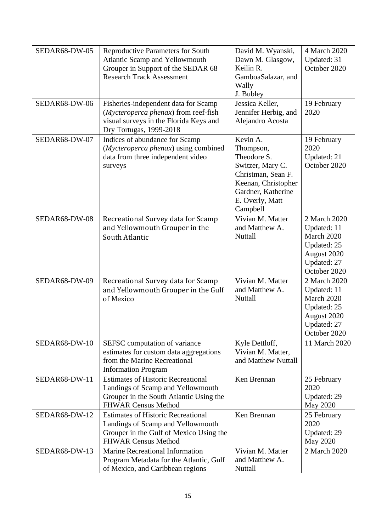| SEDAR68-DW-05<br>SEDAR68-DW-06 | <b>Reproductive Parameters for South</b><br>Atlantic Scamp and Yellowmouth<br>Grouper in Support of the SEDAR 68<br><b>Research Track Assessment</b><br>Fisheries-independent data for Scamp | David M. Wyanski,<br>Dawn M. Glasgow,<br>Keilin R.<br>GamboaSalazar, and<br>Wally<br>J. Bubley<br>Jessica Keller,                                          | 4 March 2020<br>Updated: 31<br>October 2020<br>19 February                                             |
|--------------------------------|----------------------------------------------------------------------------------------------------------------------------------------------------------------------------------------------|------------------------------------------------------------------------------------------------------------------------------------------------------------|--------------------------------------------------------------------------------------------------------|
|                                | (Mycteroperca phenax) from reef-fish<br>visual surveys in the Florida Keys and<br>Dry Tortugas, 1999-2018                                                                                    | Jennifer Herbig, and<br>Alejandro Acosta                                                                                                                   | 2020                                                                                                   |
| SEDAR68-DW-07                  | Indices of abundance for Scamp<br>(Mycteroperca phenax) using combined<br>data from three independent video<br>surveys                                                                       | Kevin A.<br>Thompson,<br>Theodore S.<br>Switzer, Mary C.<br>Christman, Sean F.<br>Keenan, Christopher<br>Gardner, Katherine<br>E. Overly, Matt<br>Campbell | 19 February<br>2020<br>Updated: 21<br>October 2020                                                     |
| SEDAR68-DW-08                  | Recreational Survey data for Scamp<br>and Yellowmouth Grouper in the<br>South Atlantic                                                                                                       | Vivian M. Matter<br>and Matthew A.<br>Nuttall                                                                                                              | 2 March 2020<br>Updated: 11<br>March 2020<br>Updated: 25<br>August 2020<br>Updated: 27<br>October 2020 |
| SEDAR68-DW-09                  | Recreational Survey data for Scamp<br>and Yellowmouth Grouper in the Gulf<br>of Mexico                                                                                                       | Vivian M. Matter<br>and Matthew A.<br>Nuttall                                                                                                              | 2 March 2020<br>Updated: 11<br>March 2020<br>Updated: 25<br>August 2020<br>Updated: 27<br>October 2020 |
| SEDAR68-DW-10                  | SEFSC computation of variance<br>estimates for custom data aggregations<br>from the Marine Recreational<br><b>Information Program</b>                                                        | Kyle Dettloff,<br>Vivian M. Matter,<br>and Matthew Nuttall                                                                                                 | 11 March 2020                                                                                          |
| SEDAR68-DW-11                  | <b>Estimates of Historic Recreational</b><br>Landings of Scamp and Yellowmouth<br>Grouper in the South Atlantic Using the<br><b>FHWAR Census Method</b>                                      | Ken Brennan                                                                                                                                                | 25 February<br>2020<br>Updated: 29<br>May 2020                                                         |
| SEDAR68-DW-12                  | <b>Estimates of Historic Recreational</b><br>Landings of Scamp and Yellowmouth<br>Grouper in the Gulf of Mexico Using the<br><b>FHWAR Census Method</b>                                      | Ken Brennan                                                                                                                                                | 25 February<br>2020<br>Updated: 29<br>May 2020                                                         |
| SEDAR68-DW-13                  | <b>Marine Recreational Information</b><br>Program Metadata for the Atlantic, Gulf<br>of Mexico, and Caribbean regions                                                                        | Vivian M. Matter<br>and Matthew A.<br>Nuttall                                                                                                              | 2 March 2020                                                                                           |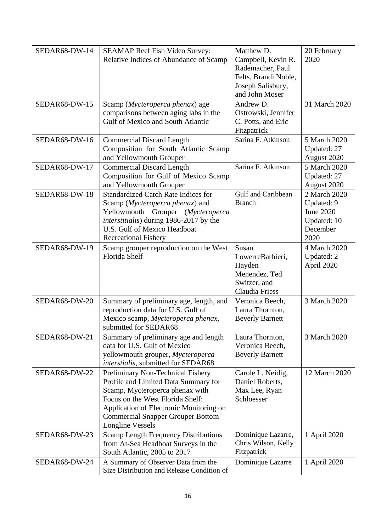| SEDAR68-DW-14 | <b>SEAMAP Reef Fish Video Survey:</b><br>Relative Indices of Abundance of Scamp                                                                                                                                                                                    | Matthew D.<br>Campbell, Kevin R.<br>Rademacher, Paul<br>Felts, Brandi Noble,<br>Joseph Salisbury,<br>and John Moser | 20 February<br>2020                                                               |
|---------------|--------------------------------------------------------------------------------------------------------------------------------------------------------------------------------------------------------------------------------------------------------------------|---------------------------------------------------------------------------------------------------------------------|-----------------------------------------------------------------------------------|
| SEDAR68-DW-15 | Scamp (Mycteroperca phenax) age<br>comparisons between aging labs in the<br><b>Gulf of Mexico and South Atlantic</b>                                                                                                                                               | Andrew D.<br>Ostrowski, Jennifer<br>C. Potts, and Eric<br>Fitzpatrick                                               | 31 March 2020                                                                     |
| SEDAR68-DW-16 | <b>Commercial Discard Length</b><br>Composition for South Atlantic Scamp<br>and Yellowmouth Grouper                                                                                                                                                                | Sarina F. Atkinson                                                                                                  | 5 March 2020<br>Updated: 27<br>August 2020                                        |
| SEDAR68-DW-17 | <b>Commercial Discard Length</b><br>Composition for Gulf of Mexico Scamp<br>and Yellowmouth Grouper                                                                                                                                                                | Sarina F. Atkinson                                                                                                  | 5 March 2020<br>Updated: 27<br>August 2020                                        |
| SEDAR68-DW-18 | <b>Standardized Catch Rate Indices for</b><br>Scamp (Mycteroperca phenax) and<br>Yellowmouth Grouper (Mycteroperca<br>interstitialis) during 1986-2017 by the<br>U.S. Gulf of Mexico Headboat<br><b>Recreational Fishery</b>                                       | Gulf and Caribbean<br><b>Branch</b>                                                                                 | 2 March 2020<br>Updated: 9<br><b>June 2020</b><br>Updated: 10<br>December<br>2020 |
| SEDAR68-DW-19 | Scamp grouper reproduction on the West<br>Florida Shelf                                                                                                                                                                                                            | Susan<br>LowerreBarbieri,<br>Hayden<br>Menendez, Ted<br>Switzer, and<br>Claudia Friess                              | 4 March 2020<br>Updated: 2<br>April 2020                                          |
| SEDAR68-DW-20 | Summary of preliminary age, length, and<br>reproduction data for U.S. Gulf of<br>Mexico scamp, Mycteroperca phenax,<br>submitted for SEDAR68                                                                                                                       | Veronica Beech,<br>Laura Thornton,<br><b>Beverly Barnett</b>                                                        | 3 March 2020                                                                      |
| SEDAR68-DW-21 | Summary of preliminary age and length<br>data for U.S. Gulf of Mexico<br>yellowmouth grouper, Mycteroperca<br>interstialis, submitted for SEDAR68                                                                                                                  | Laura Thornton,<br>Veronica Beech,<br><b>Beverly Barnett</b>                                                        | 3 March 2020                                                                      |
| SEDAR68-DW-22 | Preliminary Non-Technical Fishery<br>Profile and Limited Data Summary for<br>Scamp, Mycteroperca phenax with<br>Focus on the West Florida Shelf:<br>Application of Electronic Monitoring on<br><b>Commercial Snapper Grouper Bottom</b><br><b>Longline Vessels</b> | Carole L. Neidig,<br>Daniel Roberts,<br>Max Lee, Ryan<br>Schloesser                                                 | 12 March 2020                                                                     |
| SEDAR68-DW-23 | <b>Scamp Length Frequency Distributions</b><br>from At-Sea Headboat Surveys in the<br>South Atlantic, 2005 to 2017                                                                                                                                                 | Dominique Lazarre,<br>Chris Wilson, Kelly<br>Fitzpatrick                                                            | 1 April 2020                                                                      |
| SEDAR68-DW-24 | A Summary of Observer Data from the<br>Size Distribution and Release Condition of                                                                                                                                                                                  | Dominique Lazarre                                                                                                   | 1 April 2020                                                                      |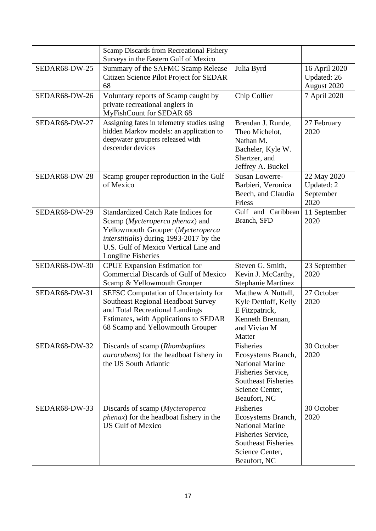|               | Scamp Discards from Recreational Fishery<br>Surveys in the Eastern Gulf of Mexico                                                                                                                                            |                                                                                                                                                  |                                                |
|---------------|------------------------------------------------------------------------------------------------------------------------------------------------------------------------------------------------------------------------------|--------------------------------------------------------------------------------------------------------------------------------------------------|------------------------------------------------|
| SEDAR68-DW-25 | Summary of the SAFMC Scamp Release<br>Citizen Science Pilot Project for SEDAR<br>68                                                                                                                                          | Julia Byrd                                                                                                                                       | 16 April 2020<br>Updated: 26<br>August 2020    |
| SEDAR68-DW-26 | Voluntary reports of Scamp caught by<br>private recreational anglers in<br>MyFishCount for SEDAR 68                                                                                                                          | Chip Collier                                                                                                                                     | 7 April 2020                                   |
| SEDAR68-DW-27 | Assigning fates in telemetry studies using<br>hidden Markov models: an application to<br>deepwater groupers released with<br>descender devices                                                                               | Brendan J. Runde,<br>Theo Michelot,<br>Nathan M.<br>Bacheler, Kyle W.<br>Shertzer, and<br>Jeffrey A. Buckel                                      | 27 February<br>2020                            |
| SEDAR68-DW-28 | Scamp grouper reproduction in the Gulf<br>of Mexico                                                                                                                                                                          | <b>Susan Lowerre-</b><br>Barbieri, Veronica<br>Beech, and Claudia<br>Friess                                                                      | 22 May 2020<br>Updated: 2<br>September<br>2020 |
| SEDAR68-DW-29 | <b>Standardized Catch Rate Indices for</b><br>Scamp (Mycteroperca phenax) and<br>Yellowmouth Grouper (Mycteroperca<br>interstitialis) during 1993-2017 by the<br>U.S. Gulf of Mexico Vertical Line and<br>Longline Fisheries | Gulf and Caribbean<br>Branch, SFD                                                                                                                | 11 September<br>2020                           |
| SEDAR68-DW-30 | <b>CPUE</b> Expansion Estimation for<br><b>Commercial Discards of Gulf of Mexico</b><br>Scamp & Yellowmouth Grouper                                                                                                          | Steven G. Smith,<br>Kevin J. McCarthy,<br><b>Stephanie Martinez</b>                                                                              | 23 September<br>2020                           |
| SEDAR68-DW-31 | <b>SEFSC Computation of Uncertainty for</b><br>Southeast Regional Headboat Survey<br>and Total Recreational Landings<br>Estimates, with Applications to SEDAR<br>68 Scamp and Yellowmouth Grouper                            | Matthew A Nuttall,<br>Kyle Dettloff, Kelly<br>E Fitzpatrick,<br>Kenneth Brennan,<br>and Vivian M<br>Matter                                       | 27 October<br>2020                             |
| SEDAR68-DW-32 | Discards of scamp (Rhomboplites<br><i>aurorubens</i> ) for the headboat fishery in<br>the US South Atlantic                                                                                                                  | Fisheries<br>Ecosystems Branch,<br><b>National Marine</b><br>Fisheries Service,<br><b>Southeast Fisheries</b><br>Science Center,<br>Beaufort, NC | 30 October<br>2020                             |
| SEDAR68-DW-33 | Discards of scamp ( <i>Mycteroperca</i><br><i>phenax</i> ) for the headboat fishery in the<br><b>US Gulf of Mexico</b>                                                                                                       | Fisheries<br>Ecosystems Branch,<br><b>National Marine</b><br>Fisheries Service,<br><b>Southeast Fisheries</b><br>Science Center,<br>Beaufort, NC | 30 October<br>2020                             |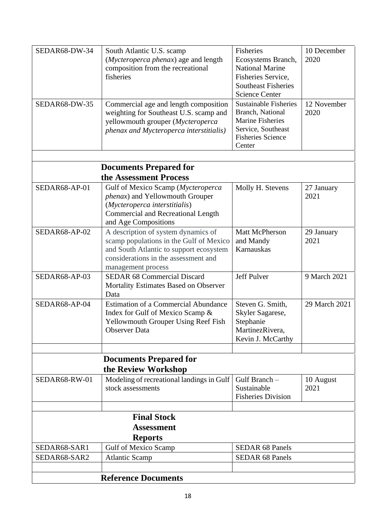| SEDAR68-DW-34<br>SEDAR68-DW-35                            | South Atlantic U.S. scamp<br>(Mycteroperca phenax) age and length<br>composition from the recreational<br>fisheries<br>Commercial age and length composition<br>weighting for Southeast U.S. scamp and | Fisheries<br>Ecosystems Branch,<br><b>National Marine</b><br>Fisheries Service,<br><b>Southeast Fisheries</b><br><b>Science Center</b><br><b>Sustainable Fisheries</b><br>Branch, National | 10 December<br>2020<br>12 November<br>2020 |
|-----------------------------------------------------------|--------------------------------------------------------------------------------------------------------------------------------------------------------------------------------------------------------|--------------------------------------------------------------------------------------------------------------------------------------------------------------------------------------------|--------------------------------------------|
|                                                           | yellowmouth grouper (Mycteroperca<br>phenax and Mycteroperca interstitialis)                                                                                                                           | <b>Marine Fisheries</b><br>Service, Southeast<br><b>Fisheries Science</b><br>Center                                                                                                        |                                            |
|                                                           | <b>Documents Prepared for</b>                                                                                                                                                                          |                                                                                                                                                                                            |                                            |
|                                                           | the Assessment Process                                                                                                                                                                                 |                                                                                                                                                                                            |                                            |
| SEDAR68-AP-01                                             | Gulf of Mexico Scamp (Mycteroperca<br><i>phenax</i> ) and Yellowmouth Grouper<br>(Mycteroperca interstitialis)<br><b>Commercial and Recreational Length</b><br>and Age Compositions                    | Molly H. Stevens                                                                                                                                                                           | 27 January<br>2021                         |
| SEDAR68-AP-02                                             | A description of system dynamics of<br>scamp populations in the Gulf of Mexico<br>and South Atlantic to support ecosystem<br>considerations in the assessment and<br>management process                | Matt McPherson<br>and Mandy<br>Karnauskas                                                                                                                                                  | 29 January<br>2021                         |
| SEDAR68-AP-03                                             | <b>SEDAR 68 Commercial Discard</b><br>Mortality Estimates Based on Observer<br>Data                                                                                                                    | Jeff Pulver                                                                                                                                                                                | 9 March 2021                               |
| SEDAR68-AP-04                                             | <b>Estimation of a Commercial Abundance</b><br>Index for Gulf of Mexico Scamp &<br>Yellowmouth Grouper Using Reef Fish<br><b>Observer Data</b>                                                         | Steven G. Smith,<br>Skyler Sagarese,<br>Stephanie<br>MartinezRivera,<br>Kevin J. McCarthy                                                                                                  | 29 March 2021                              |
|                                                           |                                                                                                                                                                                                        |                                                                                                                                                                                            |                                            |
|                                                           | <b>Documents Prepared for</b><br>the Review Workshop                                                                                                                                                   |                                                                                                                                                                                            |                                            |
| SEDAR68-RW-01                                             | Modeling of recreational landings in Gulf<br>stock assessments                                                                                                                                         | Gulf Branch -<br>Sustainable<br><b>Fisheries Division</b>                                                                                                                                  | 10 August<br>2021                          |
|                                                           |                                                                                                                                                                                                        |                                                                                                                                                                                            |                                            |
| <b>Final Stock</b><br><b>Assessment</b><br><b>Reports</b> |                                                                                                                                                                                                        |                                                                                                                                                                                            |                                            |
| SEDAR68-SAR1                                              | <b>Gulf of Mexico Scamp</b>                                                                                                                                                                            | <b>SEDAR 68 Panels</b>                                                                                                                                                                     |                                            |
| SEDAR68-SAR2                                              | <b>Atlantic Scamp</b>                                                                                                                                                                                  | <b>SEDAR 68 Panels</b>                                                                                                                                                                     |                                            |
| <b>Reference Documents</b>                                |                                                                                                                                                                                                        |                                                                                                                                                                                            |                                            |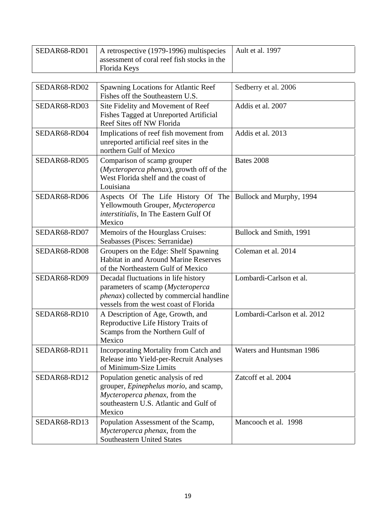| SEDAR68-RD01 | A retrospective (1979-1996) multispecies<br>assessment of coral reef fish stocks in the<br>Florida Keys                                                                   | Ault et al. 1997             |
|--------------|---------------------------------------------------------------------------------------------------------------------------------------------------------------------------|------------------------------|
| SEDAR68-RD02 | Spawning Locations for Atlantic Reef<br>Fishes off the Southeastern U.S.                                                                                                  | Sedberry et al. 2006         |
| SEDAR68-RD03 | Site Fidelity and Movement of Reef<br>Fishes Tagged at Unreported Artificial<br>Reef Sites off NW Florida                                                                 | Addis et al. 2007            |
| SEDAR68-RD04 | Implications of reef fish movement from<br>unreported artificial reef sites in the<br>northern Gulf of Mexico                                                             | Addis et al. 2013            |
| SEDAR68-RD05 | Comparison of scamp grouper<br>(Mycteroperca phenax), growth off of the<br>West Florida shelf and the coast of<br>Louisiana                                               | Bates 2008                   |
| SEDAR68-RD06 | Aspects Of The Life History Of The<br>Yellowmouth Grouper, Mycteroperca<br>interstitialis, In The Eastern Gulf Of<br>Mexico                                               | Bullock and Murphy, 1994     |
| SEDAR68-RD07 | Memoirs of the Hourglass Cruises:<br>Seabasses (Pisces: Serranidae)                                                                                                       | Bullock and Smith, 1991      |
| SEDAR68-RD08 | Groupers on the Edge: Shelf Spawning<br><b>Habitat in and Around Marine Reserves</b><br>of the Northeastern Gulf of Mexico                                                | Coleman et al. 2014          |
| SEDAR68-RD09 | Decadal fluctuations in life history<br>parameters of scamp (Mycteroperca<br><i>phenax</i> ) collected by commercial handline<br>vessels from the west coast of Florida   | Lombardi-Carlson et al.      |
| SEDAR68-RD10 | A Description of Age, Growth, and<br>Reproductive Life History Traits of<br>Scamps from the Northern Gulf of<br>Mexico                                                    | Lombardi-Carlson et al. 2012 |
| SEDAR68-RD11 | Incorporating Mortality from Catch and<br>Release into Yield-per-Recruit Analyses<br>of Minimum-Size Limits                                                               | Waters and Huntsman 1986     |
| SEDAR68-RD12 | Population genetic analysis of red<br>grouper, <i>Epinephelus morio</i> , and scamp,<br>Mycteroperca phenax, from the<br>southeastern U.S. Atlantic and Gulf of<br>Mexico | Zatcoff et al. 2004          |
| SEDAR68-RD13 | Population Assessment of the Scamp,<br>Mycteroperca phenax, from the<br><b>Southeastern United States</b>                                                                 | Mancooch et al. 1998         |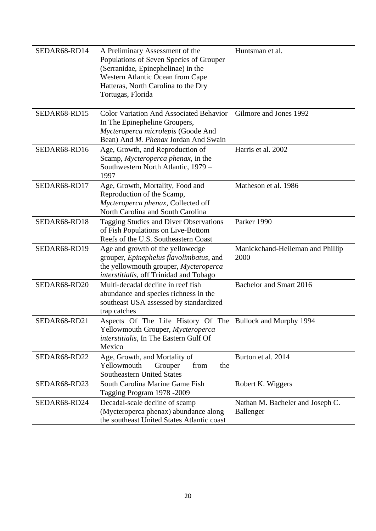| SEDAR68-RD14 | A Preliminary Assessment of the         | Huntsman et al. |
|--------------|-----------------------------------------|-----------------|
|              | Populations of Seven Species of Grouper |                 |
|              | (Serranidae, Epinephelinae) in the      |                 |
|              | Western Atlantic Ocean from Cape        |                 |
|              | Hatteras, North Carolina to the Dry     |                 |
|              | Tortugas, Florida                       |                 |

| SEDAR68-RD15 | <b>Color Variation And Associated Behavior</b> | Gilmore and Jones 1992           |
|--------------|------------------------------------------------|----------------------------------|
|              | In The Epinepheline Groupers,                  |                                  |
|              | Mycteroperca microlepis (Goode And             |                                  |
|              | Bean) And M. Phenax Jordan And Swain           |                                  |
| SEDAR68-RD16 | Age, Growth, and Reproduction of               | Harris et al. 2002               |
|              | Scamp, Mycteroperca phenax, in the             |                                  |
|              | Southwestern North Atlantic, 1979 -            |                                  |
|              | 1997                                           |                                  |
| SEDAR68-RD17 | Age, Growth, Mortality, Food and               | Matheson et al. 1986             |
|              | Reproduction of the Scamp,                     |                                  |
|              | Mycteroperca phenax, Collected off             |                                  |
|              | North Carolina and South Carolina              |                                  |
| SEDAR68-RD18 | Tagging Studies and Diver Observations         | Parker 1990                      |
|              | of Fish Populations on Live-Bottom             |                                  |
|              | Reefs of the U.S. Southeastern Coast           |                                  |
| SEDAR68-RD19 | Age and growth of the yellowedge               | Manickchand-Heileman and Phillip |
|              | grouper, Epinephelus flavolimbatus, and        | 2000                             |
|              | the yellowmouth grouper, Mycteroperca          |                                  |
|              | interstitialis, off Trinidad and Tobago        |                                  |
| SEDAR68-RD20 | Multi-decadal decline in reef fish             | Bachelor and Smart 2016          |
|              | abundance and species richness in the          |                                  |
|              | southeast USA assessed by standardized         |                                  |
|              | trap catches                                   |                                  |
| SEDAR68-RD21 | Aspects Of The Life History Of The             | Bullock and Murphy 1994          |
|              | Yellowmouth Grouper, Mycteroperca              |                                  |
|              | interstitialis, In The Eastern Gulf Of         |                                  |
|              | Mexico                                         |                                  |
| SEDAR68-RD22 | Age, Growth, and Mortality of                  | Burton et al. 2014               |
|              | Yellowmouth<br>Grouper<br>from<br>the          |                                  |
|              | <b>Southeastern United States</b>              |                                  |
| SEDAR68-RD23 | South Carolina Marine Game Fish                | Robert K. Wiggers                |
|              | Tagging Program 1978 -2009                     |                                  |
| SEDAR68-RD24 | Decadal-scale decline of scamp                 | Nathan M. Bacheler and Joseph C. |
|              | (Mycteroperca phenax) abundance along          | Ballenger                        |
|              | the southeast United States Atlantic coast     |                                  |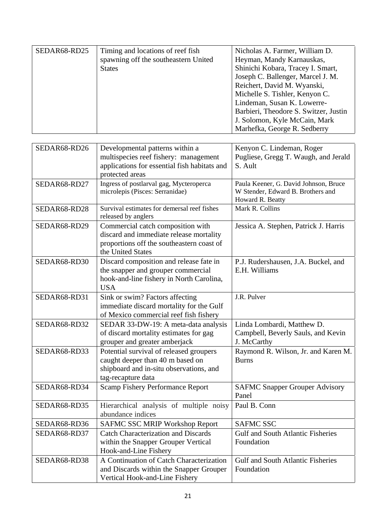| SEDAR68-RD25 | Timing and locations of reef fish<br>spawning off the southeastern United<br><b>States</b> | Nicholas A. Farmer, William D.<br>Heyman, Mandy Karnauskas,<br>Shinichi Kobara, Tracey I. Smart,<br>Joseph C. Ballenger, Marcel J. M.<br>Reichert, David M. Wyanski,<br>Michelle S. Tishler, Kenyon C.<br>Lindeman, Susan K. Lowerre-<br>Barbieri, Theodore S. Switzer, Justin |
|--------------|--------------------------------------------------------------------------------------------|--------------------------------------------------------------------------------------------------------------------------------------------------------------------------------------------------------------------------------------------------------------------------------|
|              |                                                                                            | J. Solomon, Kyle McCain, Mark<br>Marhefka, George R. Sedberry                                                                                                                                                                                                                  |

| SEDAR68-RD26 | Developmental patterns within a<br>multispecies reef fishery: management<br>applications for essential fish habitats and<br>protected areas    | Kenyon C. Lindeman, Roger<br>Pugliese, Gregg T. Waugh, and Jerald<br>S. Ault                   |
|--------------|------------------------------------------------------------------------------------------------------------------------------------------------|------------------------------------------------------------------------------------------------|
| SEDAR68-RD27 | Ingress of postlarval gag, Mycteroperca<br>microlepis (Pisces: Serranidae)                                                                     | Paula Keener, G. David Johnson, Bruce<br>W Stender, Edward B. Brothers and<br>Howard R. Beatty |
| SEDAR68-RD28 | Survival estimates for demersal reef fishes<br>released by anglers                                                                             | Mark R. Collins                                                                                |
| SEDAR68-RD29 | Commercial catch composition with<br>discard and immediate release mortality<br>proportions off the southeastern coast of<br>the United States | Jessica A. Stephen, Patrick J. Harris                                                          |
| SEDAR68-RD30 | Discard composition and release fate in<br>the snapper and grouper commercial<br>hook-and-line fishery in North Carolina,<br><b>USA</b>        | P.J. Rudershausen, J.A. Buckel, and<br>E.H. Williams                                           |
| SEDAR68-RD31 | Sink or swim? Factors affecting<br>immediate discard mortality for the Gulf<br>of Mexico commercial reef fish fishery                          | J.R. Pulver                                                                                    |
| SEDAR68-RD32 | SEDAR 33-DW-19: A meta-data analysis<br>of discard mortality estimates for gag<br>grouper and greater amberjack                                | Linda Lombardi, Matthew D.<br>Campbell, Beverly Sauls, and Kevin<br>J. McCarthy                |
| SEDAR68-RD33 | Potential survival of released groupers<br>caught deeper than 40 m based on<br>shipboard and in-situ observations, and<br>tag-recapture data   | Raymond R. Wilson, Jr. and Karen M.<br><b>Burns</b>                                            |
| SEDAR68-RD34 | <b>Scamp Fishery Performance Report</b>                                                                                                        | <b>SAFMC Snapper Grouper Advisory</b><br>Panel                                                 |
| SEDAR68-RD35 | Hierarchical analysis of multiple noisy<br>abundance indices                                                                                   | Paul B. Conn                                                                                   |
| SEDAR68-RD36 | SAFMC SSC MRIP Workshop Report                                                                                                                 | <b>SAFMC SSC</b>                                                                               |
| SEDAR68-RD37 | <b>Catch Characterization and Discards</b><br>within the Snapper Grouper Vertical<br>Hook-and-Line Fishery                                     | <b>Gulf and South Atlantic Fisheries</b><br>Foundation                                         |
| SEDAR68-RD38 | A Continuation of Catch Characterization<br>and Discards within the Snapper Grouper<br>Vertical Hook-and-Line Fishery                          | <b>Gulf and South Atlantic Fisheries</b><br>Foundation                                         |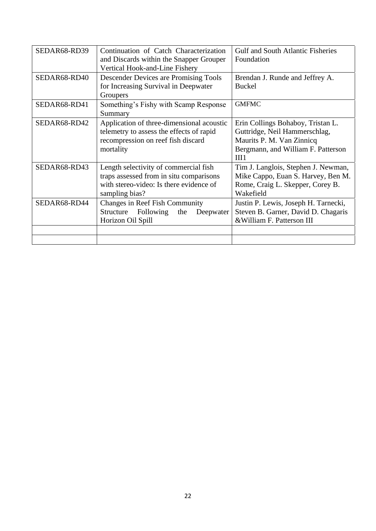| SEDAR68-RD39 | Continuation of Catch Characterization<br>and Discards within the Snapper Grouper<br>Vertical Hook-and-Line Fishery                           | <b>Gulf and South Atlantic Fisheries</b><br>Foundation                                                                                        |
|--------------|-----------------------------------------------------------------------------------------------------------------------------------------------|-----------------------------------------------------------------------------------------------------------------------------------------------|
| SEDAR68-RD40 | <b>Descender Devices are Promising Tools</b><br>for Increasing Survival in Deepwater<br>Groupers                                              | Brendan J. Runde and Jeffrey A.<br><b>Buckel</b>                                                                                              |
| SEDAR68-RD41 | Something's Fishy with Scamp Response<br>Summary                                                                                              | <b>GMFMC</b>                                                                                                                                  |
| SEDAR68-RD42 | Application of three-dimensional acoustic<br>telemetry to assess the effects of rapid<br>recompression on reef fish discard<br>mortality      | Erin Collings Bohaboy, Tristan L.<br>Guttridge, Neil Hammerschlag,<br>Maurits P. M. Van Zinnicq<br>Bergmann, and William F. Patterson<br>III1 |
| SEDAR68-RD43 | Length selectivity of commercial fish<br>traps assessed from in situ comparisons<br>with stereo-video: Is there evidence of<br>sampling bias? | Tim J. Langlois, Stephen J. Newman,<br>Mike Cappo, Euan S. Harvey, Ben M.<br>Rome, Craig L. Skepper, Corey B.<br>Wakefield                    |
| SEDAR68-RD44 | <b>Changes in Reef Fish Community</b><br>Following<br>Structure<br>the<br>Deepwater<br>Horizon Oil Spill                                      | Justin P. Lewis, Joseph H. Tarnecki,<br>Steven B. Garner, David D. Chagaris<br>& William F. Patterson III                                     |
|              |                                                                                                                                               |                                                                                                                                               |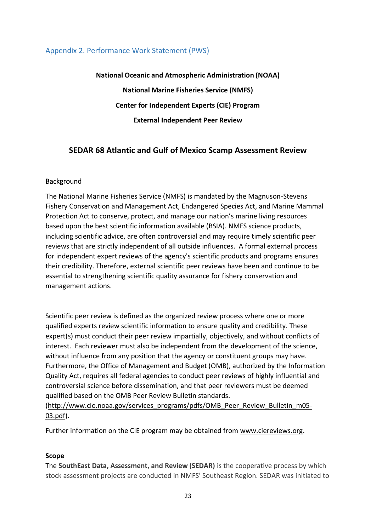### Appendix 2. Performance Work Statement (PWS)

**National Oceanic and Atmospheric Administration (NOAA) National Marine Fisheries Service (NMFS) Center for Independent Experts (CIE) Program External Independent Peer Review**

# **SEDAR 68 Atlantic and Gulf of Mexico Scamp Assessment Review**

#### Background

The National Marine Fisheries Service (NMFS) is mandated by the Magnuson-Stevens Fishery Conservation and Management Act, Endangered Species Act, and Marine Mammal Protection Act to conserve, protect, and manage our nation's marine living resources based upon the best scientific information available (BSIA). NMFS science products, including scientific advice, are often controversial and may require timely scientific peer reviews that are strictly independent of all outside influences. A formal external process for independent expert reviews of the agency's scientific products and programs ensures their credibility. Therefore, external scientific peer reviews have been and continue to be essential to strengthening scientific quality assurance for fishery conservation and management actions.

Scientific peer review is defined as the organized review process where one or more qualified experts review scientific information to ensure quality and credibility. These expert(s) must conduct their peer review impartially, objectively, and without conflicts of interest. Each reviewer must also be independent from the development of the science, without influence from any position that the agency or constituent groups may have. Furthermore, the Office of Management and Budget (OMB), authorized by the Information Quality Act, requires all federal agencies to conduct peer reviews of highly influential and controversial science before dissemination, and that peer reviewers must be deemed qualified based on the OMB Peer Review Bulletin standards.

[\(http://www.cio.noaa.gov/services\\_programs/pdfs/OMB\\_Peer\\_Review\\_Bulletin\\_m05-](http://www.cio.noaa.gov/services_programs/pdfs/OMB_Peer_Review_Bulletin_m05-03.pdf) [03.pdf\)](http://www.cio.noaa.gov/services_programs/pdfs/OMB_Peer_Review_Bulletin_m05-03.pdf).

Further information on the CIE program may be obtained from [www.ciereviews.org.](http://www.ciereviews.com/)

#### **Scope**

The **SouthEast Data, Assessment, and Review (SEDAR)** is the cooperative process by which stock assessment projects are conducted in NMFS' Southeast Region. SEDAR was initiated to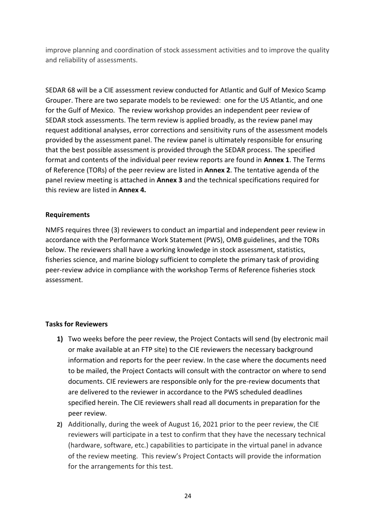improve planning and coordination of stock assessment activities and to improve the quality and reliability of assessments.

SEDAR 68 will be a CIE assessment review conducted for Atlantic and Gulf of Mexico Scamp Grouper. There are two separate models to be reviewed: one for the US Atlantic, and one for the Gulf of Mexico. The review workshop provides an independent peer review of SEDAR stock assessments. The term review is applied broadly, as the review panel may request additional analyses, error corrections and sensitivity runs of the assessment models provided by the assessment panel. The review panel is ultimately responsible for ensuring that the best possible assessment is provided through the SEDAR process. The specified format and contents of the individual peer review reports are found in **Annex 1**. The Terms of Reference (TORs) of the peer review are listed in **Annex 2**. The tentative agenda of the panel review meeting is attached in **Annex 3** and the technical specifications required for this review are listed in **Annex 4.**

#### **Requirements**

NMFS requires three (3) reviewers to conduct an impartial and independent peer review in accordance with the Performance Work Statement (PWS), OMB guidelines, and the TORs below. The reviewers shall have a working knowledge in stock assessment, statistics, fisheries science, and marine biology sufficient to complete the primary task of providing peer-review advice in compliance with the workshop Terms of Reference fisheries stock assessment.

#### **Tasks for Reviewers**

- **1)** Two weeks before the peer review, the Project Contacts will send (by electronic mail or make available at an FTP site) to the CIE reviewers the necessary background information and reports for the peer review. In the case where the documents need to be mailed, the Project Contacts will consult with the contractor on where to send documents. CIE reviewers are responsible only for the pre-review documents that are delivered to the reviewer in accordance to the PWS scheduled deadlines specified herein. The CIE reviewers shall read all documents in preparation for the peer review.
- **2)** Additionally, during the week of August 16, 2021 prior to the peer review, the CIE reviewers will participate in a test to confirm that they have the necessary technical (hardware, software, etc.) capabilities to participate in the virtual panel in advance of the review meeting. This review's Project Contacts will provide the information for the arrangements for this test.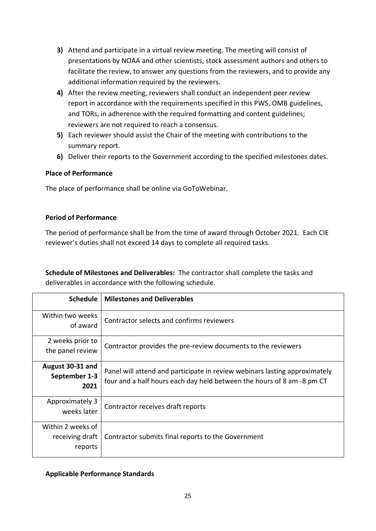- **3)** Attend and participate in a virtual review meeting. The meeting will consist of presentations by NOAA and other scientists, stock assessment authors and others to facilitate the review, to answer any questions from the reviewers, and to provide any additional information required by the reviewers.
- **4)** After the review meeting, reviewers shall conduct an independent peer review report in accordance with the requirements specified in this PWS, OMB guidelines, and TORs, in adherence with the required formatting and content guidelines; reviewers are not required to reach a consensus.
- **5)** Each reviewer should assist the Chair of the meeting with contributions to the summary report.
- **6)** Deliver their reports to the Government according to the specified milestones dates.

# **Place of Performance**

The place of performance shall be online via GoToWebinar.

# **Period of Performance**

The period of performance shall be from the time of award through October 2021. Each CIE reviewer's duties shall not exceed 14 days to complete all required tasks.

**Schedule of Milestones and Deliverables:** The contractor shall complete the tasks and deliverables in accordance with the following schedule.

| <b>Schedule</b>                                 | <b>Milestones and Deliverables</b>                                                                                                                   |
|-------------------------------------------------|------------------------------------------------------------------------------------------------------------------------------------------------------|
| Within two weeks<br>of award                    | Contractor selects and confirms reviewers                                                                                                            |
| 2 weeks prior to<br>the panel review            | Contractor provides the pre-review documents to the reviewers                                                                                        |
| August 30-31 and<br>September 1-3<br>2021       | Panel will attend and participate in review webinars lasting approximately<br>four and a half hours each day held between the hours of 8 am -8 pm CT |
| Approximately 3<br>weeks later                  | Contractor receives draft reports                                                                                                                    |
| Within 2 weeks of<br>receiving draft<br>reports | Contractor submits final reports to the Government                                                                                                   |

#### **Applicable Performance Standards**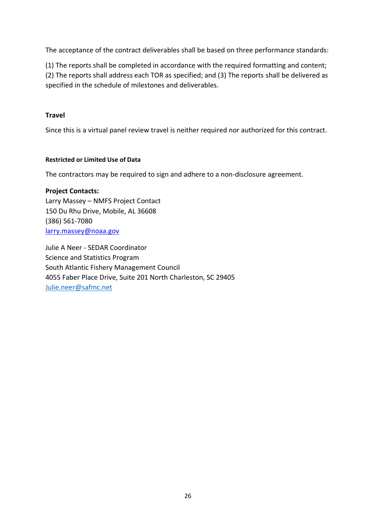The acceptance of the contract deliverables shall be based on three performance standards:

(1) The reports shall be completed in accordance with the required formatting and content; (2) The reports shall address each TOR as specified; and (3) The reports shall be delivered as specified in the schedule of milestones and deliverables.

# **Travel**

Since this is a virtual panel review travel is neither required nor authorized for this contract.

#### **Restricted or Limited Use of Data**

The contractors may be required to sign and adhere to a non-disclosure agreement.

**Project Contacts:** Larry Massey – NMFS Project Contact 150 Du Rhu Drive, Mobile, AL 36608 (386) 561-7080 [larry.massey@noaa.gov](https://mail.google.com/mail/?view=cm&fs=1&tf=1&to=larry.massey@noaa.gov&su=&body=)

Julie A Neer - SEDAR Coordinator Science and Statistics Program South Atlantic Fishery Management Council 4055 Faber Place Drive, Suite 201 North Charleston, SC 29405 [Julie.neer@safmc.net](mailto:Julie.neer@safmc.net)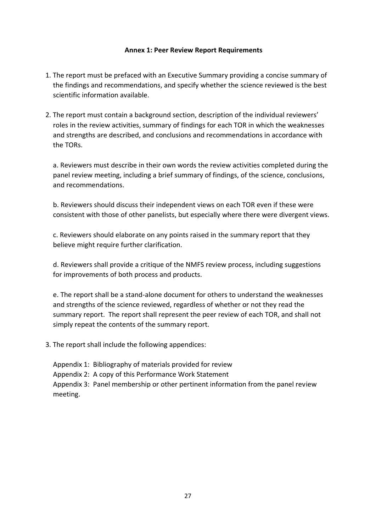#### **Annex 1: Peer Review Report Requirements**

- 1. The report must be prefaced with an Executive Summary providing a concise summary of the findings and recommendations, and specify whether the science reviewed is the best scientific information available.
- 2. The report must contain a background section, description of the individual reviewers' roles in the review activities, summary of findings for each TOR in which the weaknesses and strengths are described, and conclusions and recommendations in accordance with the TORs.

a. Reviewers must describe in their own words the review activities completed during the panel review meeting, including a brief summary of findings, of the science, conclusions, and recommendations.

b. Reviewers should discuss their independent views on each TOR even if these were consistent with those of other panelists, but especially where there were divergent views.

c. Reviewers should elaborate on any points raised in the summary report that they believe might require further clarification.

d. Reviewers shall provide a critique of the NMFS review process, including suggestions for improvements of both process and products.

e. The report shall be a stand-alone document for others to understand the weaknesses and strengths of the science reviewed, regardless of whether or not they read the summary report. The report shall represent the peer review of each TOR, and shall not simply repeat the contents of the summary report.

3. The report shall include the following appendices:

Appendix 1: Bibliography of materials provided for review

Appendix 2: A copy of this Performance Work Statement

Appendix 3: Panel membership or other pertinent information from the panel review meeting.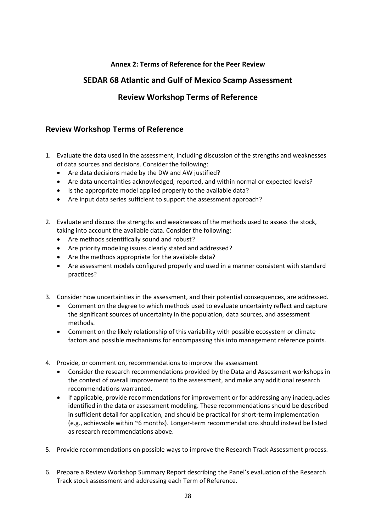#### **Annex 2: Terms of Reference for the Peer Review**

# **SEDAR 68 Atlantic and Gulf of Mexico Scamp Assessment**

# **Review Workshop Terms of Reference**

# **Review Workshop Terms of Reference**

- 1. Evaluate the data used in the assessment, including discussion of the strengths and weaknesses of data sources and decisions. Consider the following:
	- Are data decisions made by the DW and AW justified?
	- Are data uncertainties acknowledged, reported, and within normal or expected levels?
	- Is the appropriate model applied properly to the available data?
	- Are input data series sufficient to support the assessment approach?
- 2. Evaluate and discuss the strengths and weaknesses of the methods used to assess the stock, taking into account the available data. Consider the following:
	- Are methods scientifically sound and robust?
	- Are priority modeling issues clearly stated and addressed?
	- Are the methods appropriate for the available data?
	- Are assessment models configured properly and used in a manner consistent with standard practices?
- 3. Consider how uncertainties in the assessment, and their potential consequences, are addressed.
	- Comment on the degree to which methods used to evaluate uncertainty reflect and capture the significant sources of uncertainty in the population, data sources, and assessment methods.
	- Comment on the likely relationship of this variability with possible ecosystem or climate factors and possible mechanisms for encompassing this into management reference points.
- 4. Provide, or comment on, recommendations to improve the assessment
	- Consider the research recommendations provided by the Data and Assessment workshops in the context of overall improvement to the assessment, and make any additional research recommendations warranted.
	- If applicable, provide recommendations for improvement or for addressing any inadequacies identified in the data or assessment modeling. These recommendations should be described in sufficient detail for application, and should be practical for short-term implementation (e.g., achievable within ~6 months). Longer-term recommendations should instead be listed as research recommendations above.
- 5. Provide recommendations on possible ways to improve the Research Track Assessment process.
- 6. Prepare a Review Workshop Summary Report describing the Panel's evaluation of the Research Track stock assessment and addressing each Term of Reference.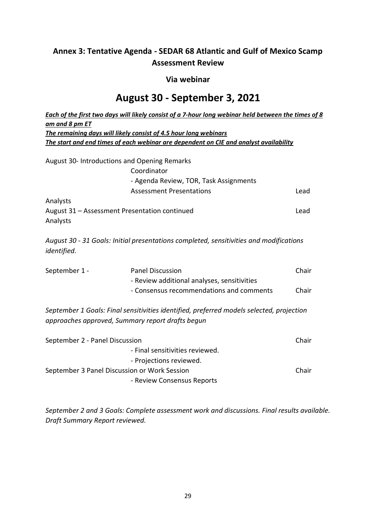# **Annex 3: Tentative Agenda - SEDAR 68 Atlantic and Gulf of Mexico Scamp Assessment Review**

## **Via webinar**

# **August 30 - September 3, 2021**

|                                | Each of the first two days will likely consist of a 7-hour long webinar held between the times of 8 |       |
|--------------------------------|-----------------------------------------------------------------------------------------------------|-------|
| am and 8 pm ET                 |                                                                                                     |       |
|                                | The remaining days will likely consist of 4.5 hour long webinars                                    |       |
|                                | The start and end times of each webinar are dependent on CIE and analyst availability               |       |
|                                |                                                                                                     |       |
|                                | August 30- Introductions and Opening Remarks                                                        |       |
|                                | Coordinator                                                                                         |       |
|                                | - Agenda Review, TOR, Task Assignments                                                              |       |
|                                | <b>Assessment Presentations</b>                                                                     | Lead  |
| Analysts                       |                                                                                                     |       |
|                                | August 31 - Assessment Presentation continued                                                       | Lead  |
| Analysts                       |                                                                                                     |       |
|                                |                                                                                                     |       |
|                                | August 30 - 31 Goals: Initial presentations completed, sensitivities and modifications              |       |
| identified.                    |                                                                                                     |       |
|                                |                                                                                                     |       |
| September 1 -                  | <b>Panel Discussion</b>                                                                             | Chair |
|                                | - Review additional analyses, sensitivities                                                         |       |
|                                | - Consensus recommendations and comments                                                            | Chair |
|                                |                                                                                                     |       |
|                                | September 1 Goals: Final sensitivities identified, preferred models selected, projection            |       |
|                                | approaches approved, Summary report drafts begun                                                    |       |
|                                |                                                                                                     |       |
| September 2 - Panel Discussion |                                                                                                     | Chair |
|                                | - Final sensitivities reviewed.                                                                     |       |
|                                | - Projections reviewed.                                                                             |       |
|                                | September 3 Panel Discussion or Work Session                                                        | Chair |
|                                | - Review Consensus Reports                                                                          |       |
|                                |                                                                                                     |       |

*September 2 and 3 Goals: Complete assessment work and discussions. Final results available. Draft Summary Report reviewed.*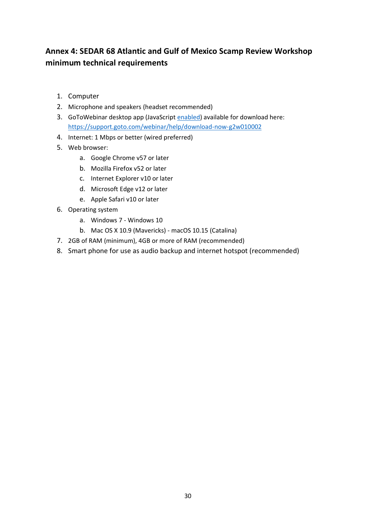# **Annex 4: SEDAR 68 Atlantic and Gulf of Mexico Scamp Review Workshop minimum technical requirements**

- 1. Computer
- 2. Microphone and speakers (headset recommended)
- 3. GoToWebinar desktop app (JavaScript [enabled\)](http://enable-javascript.com/) available for download here: <https://support.goto.com/webinar/help/download-now-g2w010002>
- 4. Internet: 1 Mbps or better (wired preferred)
- 5. Web browser:
	- a. Google Chrome v57 or later
	- b. Mozilla Firefox v52 or later
	- c. Internet Explorer v10 or later
	- d. Microsoft Edge v12 or later
	- e. Apple Safari v10 or later
- 6. Operating system
	- a. Windows 7 Windows 10
	- b. Mac OS X 10.9 (Mavericks) macOS 10.15 (Catalina)
- 7. 2GB of RAM (minimum), 4GB or more of RAM (recommended)
- 8. Smart phone for use as audio backup and internet hotspot (recommended)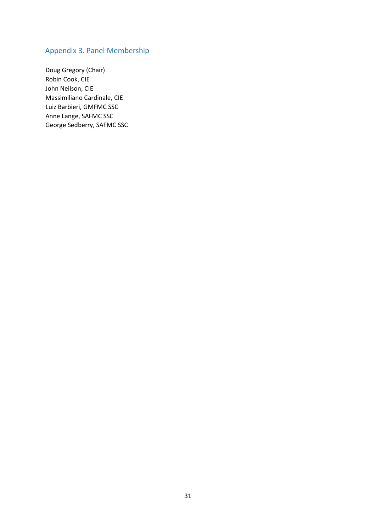# Appendix 3. Panel Membership

Doug Gregory (Chair) Robin Cook, CIE John Neilson, CIE Massimiliano Cardinale, CIE Luiz Barbieri, GMFMC SSC Anne Lange, SAFMC SSC George Sedberry, SAFMC SSC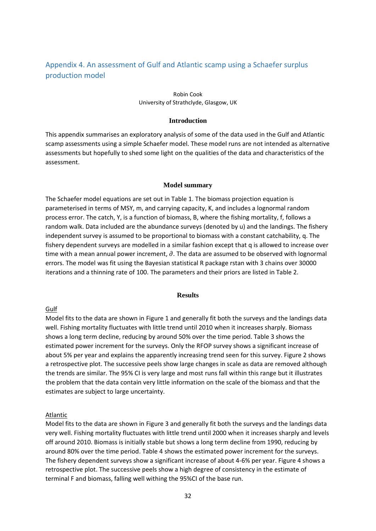# Appendix 4. An assessment of Gulf and Atlantic scamp using a Schaefer surplus production model

#### Robin Cook University of Strathclyde, Glasgow, UK

#### **Introduction**

This appendix summarises an exploratory analysis of some of the data used in the Gulf and Atlantic scamp assessments using a simple Schaefer model. These model runs are not intended as alternative assessments but hopefully to shed some light on the qualities of the data and characteristics of the assessment.

#### **Model summary**

The Schaefer model equations are set out in Table 1. The biomass projection equation is parameterised in terms of MSY, m, and carrying capacity, K, and includes a lognormal random process error. The catch, Y, is a function of biomass, B, where the fishing mortality, f, follows a random walk. Data included are the abundance surveys (denoted by u) and the landings. The fishery independent survey is assumed to be proportional to biomass with a constant catchability, q. The fishery dependent surveys are modelled in a similar fashion except that q is allowed to increase over time with a mean annual power increment,  $\partial$ . The data are assumed to be observed with lognormal errors. The model was fit using the Bayesian statistical R package rstan with 3 chains over 30000 iterations and a thinning rate of 100. The parameters and their priors are listed in Table 2.

#### **Results**

#### Gulf

Model fits to the data are shown in Figure 1 and generally fit both the surveys and the landings data well. Fishing mortality fluctuates with little trend until 2010 when it increases sharply. Biomass shows a long term decline, reducing by around 50% over the time period. Table 3 shows the estimated power increment for the surveys. Only the RFOP survey shows a significant increase of about 5% per year and explains the apparently increasing trend seen for this survey. Figure 2 shows a retrospective plot. The successive peels show large changes in scale as data are removed although the trends are similar. The 95% CI is very large and most runs fall within this range but it illustrates the problem that the data contain very little information on the scale of the biomass and that the estimates are subject to large uncertainty.

#### Atlantic

Model fits to the data are shown in Figure 3 and generally fit both the surveys and the landings data very well. Fishing mortality fluctuates with little trend until 2000 when it increases sharply and levels off around 2010. Biomass is initially stable but shows a long term decline from 1990, reducing by around 80% over the time period. Table 4 shows the estimated power increment for the surveys. The fishery dependent surveys show a significant increase of about 4-6% per year. Figure 4 shows a retrospective plot. The successive peels show a high degree of consistency in the estimate of terminal F and biomass, falling well withing the 95%CI of the base run.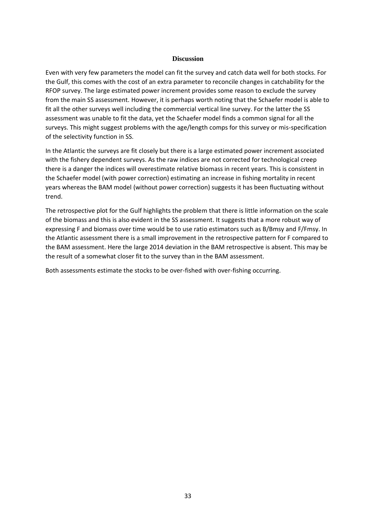#### **Discussion**

Even with very few parameters the model can fit the survey and catch data well for both stocks. For the Gulf, this comes with the cost of an extra parameter to reconcile changes in catchability for the RFOP survey. The large estimated power increment provides some reason to exclude the survey from the main SS assessment. However, it is perhaps worth noting that the Schaefer model is able to fit all the other surveys well including the commercial vertical line survey. For the latter the SS assessment was unable to fit the data, yet the Schaefer model finds a common signal for all the surveys. This might suggest problems with the age/length comps for this survey or mis-specification of the selectivity function in SS.

In the Atlantic the surveys are fit closely but there is a large estimated power increment associated with the fishery dependent surveys. As the raw indices are not corrected for technological creep there is a danger the indices will overestimate relative biomass in recent years. This is consistent in the Schaefer model (with power correction) estimating an increase in fishing mortality in recent years whereas the BAM model (without power correction) suggests it has been fluctuating without trend.

The retrospective plot for the Gulf highlights the problem that there is little information on the scale of the biomass and this is also evident in the SS assessment. It suggests that a more robust way of expressing F and biomass over time would be to use ratio estimators such as B/Bmsy and F/Fmsy. In the Atlantic assessment there is a small improvement in the retrospective pattern for F compared to the BAM assessment. Here the large 2014 deviation in the BAM retrospective is absent. This may be the result of a somewhat closer fit to the survey than in the BAM assessment.

Both assessments estimate the stocks to be over-fished with over-fishing occurring.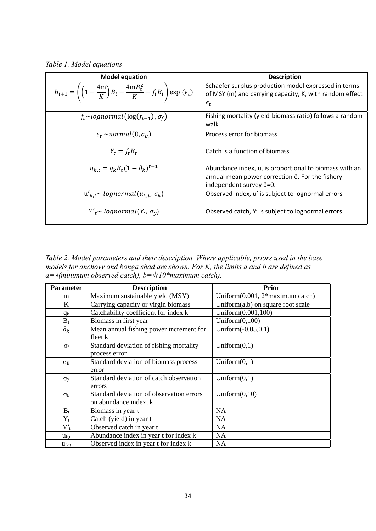*Table 1. Model equations*

| <b>Model equation</b>                                                                                                        | <b>Description</b>                                                                                                                                         |
|------------------------------------------------------------------------------------------------------------------------------|------------------------------------------------------------------------------------------------------------------------------------------------------------|
| $B_{t+1} = \left( \left( 1 + \frac{4m}{K} \right) B_t - \frac{4m B_t^2}{K} - f_t B_t \right) \exp \left( \epsilon_t \right)$ | Schaefer surplus production model expressed in terms<br>of MSY (m) and carrying capacity, K, with random effect<br>$\epsilon_{t}$                          |
| $f_t \sim lognormal(log(f_{t-1}), \sigma_f)$                                                                                 | Fishing mortality (yield-biomass ratio) follows a random<br>walk                                                                                           |
| $\epsilon_t \sim normal(0, \sigma_R)$                                                                                        | Process error for biomass                                                                                                                                  |
| $Y_t = f_t B_t$                                                                                                              | Catch is a function of biomass                                                                                                                             |
| $u_{k,t} = q_k B_t (1 - \partial_k)^{t-1}$                                                                                   | Abundance index, u, is proportional to biomass with an<br>annual mean power correction $\partial$ . For the fishery<br>independent survey $\partial = 0$ . |
| $u'_{k,t}$ ~ lognormal $(u_{k,t}, \sigma_k)$                                                                                 | Observed index, u' is subject to lognormal errors                                                                                                          |
| $Y'_t \sim lognormal(Y_t, \sigma_v)$                                                                                         | Observed catch, Y' is subject to lognormal errors                                                                                                          |

*Table 2. Model parameters and their description. Where applicable, priors used in the base models for anchovy and bonga shad are shown. For K, the limits a and b are defined as a=√(minimum observed catch), b=√(10\*maximum catch).*

| <b>Parameter</b> | <b>Description</b>                                                | <b>Prior</b>                         |
|------------------|-------------------------------------------------------------------|--------------------------------------|
| m                | Maximum sustainable yield (MSY)                                   | Uniform $(0.001, 2*$ maximum catch)  |
| K                | Carrying capacity or virgin biomass                               | Uniform $(a,b)$ on square root scale |
| $q_k$            | Catchability coefficient for index k                              | Uniform(0.001,100)                   |
| $B_1$            | Biomass in first year                                             | Uniform $(0,100)$                    |
| $\partial_k$     | Mean annual fishing power increment for<br>fleet k                | Uniform $(-0.05, 0.1)$               |
| $\sigma_{\rm f}$ | Standard deviation of fishing mortality<br>process error          | Uniform $(0,1)$                      |
| $\sigma_B$       | Standard deviation of biomass process<br>error                    | Uniform $(0,1)$                      |
| $\sigma_{v}$     | Standard deviation of catch observation<br>errors                 | Uniform $(0,1)$                      |
| $\sigma_{k}$     | Standard deviation of observation errors<br>on abundance index, k | Uniform $(0,10)$                     |
| $B_t$            | Biomass in year t                                                 | <b>NA</b>                            |
| $Y_t$            | Catch (yield) in year t                                           | <b>NA</b>                            |
| $Y_{t}^{\prime}$ | Observed catch in year t                                          | <b>NA</b>                            |
| $u_{k,t}$        | Abundance index in year t for index k                             | <b>NA</b>                            |
| $u'_{k,t}$       | Observed index in year t for index k                              | <b>NA</b>                            |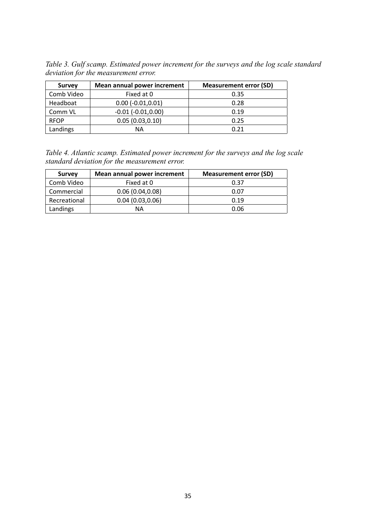*Table 3. Gulf scamp. Estimated power increment for the surveys and the log scale standard deviation for the measurement error.*

| <b>Survey</b> | Mean annual power increment | <b>Measurement error (SD)</b> |
|---------------|-----------------------------|-------------------------------|
| Comb Video    | Fixed at 0                  | 0.35                          |
| Headboat      | $0.00 (-0.01, 0.01)$        | 0.28                          |
| Comm VL       | $-0.01$ $(-0.01, 0.00)$     | 0.19                          |
| <b>RFOP</b>   | 0.05(0.03, 0.10)            | 0.25                          |
| Landings      | ΝA                          | 0.21                          |

| Table 4. Atlantic scamp. Estimated power increment for the surveys and the log scale |  |  |  |
|--------------------------------------------------------------------------------------|--|--|--|
| standard deviation for the measurement error.                                        |  |  |  |

| <b>Survey</b> | Mean annual power increment | <b>Measurement error (SD)</b> |
|---------------|-----------------------------|-------------------------------|
| Comb Video    | Fixed at 0                  | 0.37                          |
| Commercial    | 0.06(0.04, 0.08)            | 0.07                          |
| Recreational  | 0.04(0.03, 0.06)            | 0.19                          |
| Landings      | ΝA                          | 0.06                          |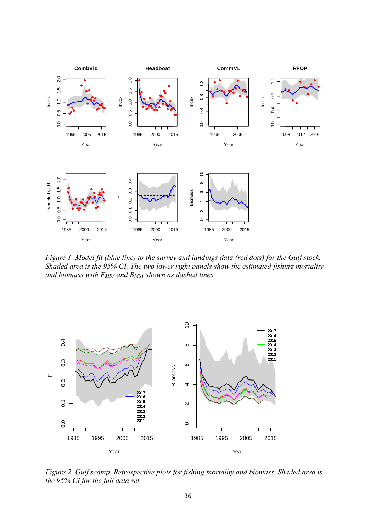

*Figure 1. Model fit (blue line) to the survey and landings data (red dots) for the Gulf stock. Shaded area is the 95% CI. The two lower right panels show the estimated fishing mortality and biomass with FMSY and BMSY shown as dashed lines.*



*Figure 2. Gulf scamp. Retrospective plots for fishing mortality and biomass. Shaded area is the 95% CI for the full data set.*